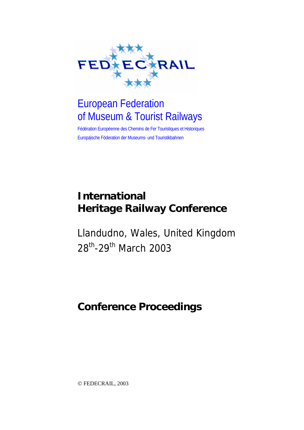

# European Federation of Museum & Tourist Railways

Fédération Européenne des Chemins de Fer Touristiques et Historiques Europäische Föderation der Museums- und Touristikbahnen

# **International Heritage Railway Conference**

Llandudno, Wales, United Kingdom 28<sup>th</sup>-29<sup>th</sup> March 2003

# **Conference Proceedings**

© FEDECRAIL, 2003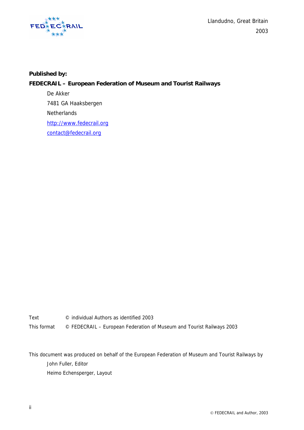

 $FED^*_{\ast}E\overset{\ast}{\mathbf{C}}\overset{\ast}{\mathbf{R}}RAL$ 2003

#### **Published by:**

#### **FEDECRAIL – European Federation of Museum and Tourist Railways**

 De Akker 7481 GA Haaksbergen **Netherlands** http://www.fedecrail.org contact@fedecrail.org

Text © individual Authors as identified 2003 This format © FEDECRAIL – European Federation of Museum and Tourist Railways 2003

This document was produced on behalf of the European Federation of Museum and Tourist Railways by John Fuller, Editor Heimo Echensperger, Layout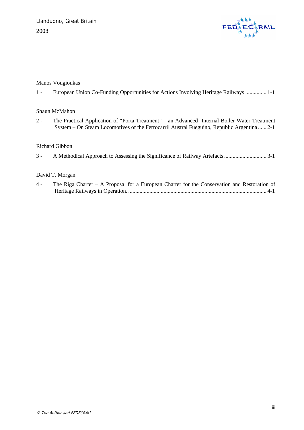

#### Manos Vougioukas

1 - [European Union Co-Funding Opportunities for Actions Involving Heritage Railways](#page-4-0) ............... 1-1

#### Shaun McMahon

2 - [The Practical Application of "Porta Treatment" – an Advanced Internal Boiler Water Treatment](#page-10-0)  [System – On Steam Locomotives of the Ferrocarril Austral Fueguino, Republic Argentina](#page-10-0) ...... 2-1

#### Richard Gibbon

3 - [A Methodical Approach to Assessing the Significance of Railway Artefacts.............................. 3-1](#page-30-0)

#### David T. Morgan

4 - [The Riga Charter – A Proposal for a European Charter for the Conservation and Restoration of](#page-34-0)  Heritage Railways in Operation. [.................................................................................................. 4-1](#page-34-0)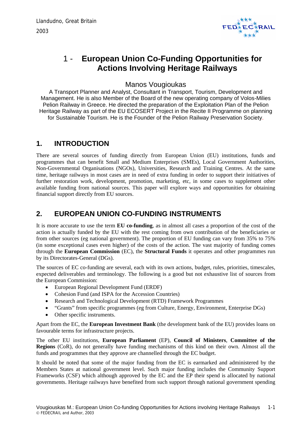

## <span id="page-4-0"></span>1 - **European Union Co-Funding Opportunities for Actions Involving Heritage Railways**

#### Manos Vougioukas

A Transport Planner and Analyst, Consultant in Transport, Tourism, Development and Management. He is also Member of the Board of the new operating company of Volos-Milies Pelion Railway in Greece. He directed the preparation of the Exploitation Plan of the Pelion Heritage Railway as part of the EU ECOSERT Project in the Recite II Programme on planning for Sustainable Tourism. He is the Founder of the Pelion Railway Preservation Society.

#### **1. INTRODUCTION**

There are several sources of funding directly from European Union (EU) institutions, funds and programmes that can benefit Small and Medium Enterprises (SMEs), Local Government Authorities, Non-Governmental Organisations (NGOs), Universities, Research and Training Centres. At the same time, heritage railways in most cases are in need of extra funding in order to support their initiatives of further restoration work, development, promotion, marketing, etc, in some cases to supplement other available funding from national sources. This paper will explore ways and opportunities for obtaining financial support directly from EU sources.

### **2. EUROPEAN UNION CO-FUNDING INSTRUMENTS**

It is more accurate to use the term **EU co-funding**, as in almost all cases a proportion of the cost of the action is actually funded by the EU with the rest coming from own contribution of the beneficiaries or from other sources (eg national government). The proportion of EU funding can vary from 35% to 75% (in some exceptional cases even higher) of the costs of the action. The vast majority of funding comes through the **European Commission** (EC), the **Structural Funds** it operates and other programmes run by its Directorates-General (DGs).

The sources of EC co-funding are several, each with its own actions, budget, rules, priorities, timescales, expected deliverables and terminology. The following is a good but not exhaustive list of sources from the European Commission:

- European Regional Development Fund (ERDF)
- Cohesion Fund (and ISPA for the Accession Countries)
- Research and Technological Development (RTD) Framework Programmes
- "Grants" from specific programmes (eg from Culture, Energy, Environment, Enterprise DGs)
- Other specific instruments.

Apart from the EC, the **European Investment Bank** (the development bank of the EU) provides loans on favourable terms for infrastructure projects.

The other EU institutions, **European Parliament** (EP), **Council of Ministers**, **Committee of the Regions** (CoR), do not generally have funding mechanisms of this kind on their own. Almost all the funds and programmes that they approve are channelled through the EC budget.

It should be noted that some of the major funding from the EC is earmarked and administered by the Members States at national government level. Such major funding includes the Community Support Frameworks (CSF) which although approved by the EC and the EP their spend is allocated by national governments. Heritage railways have benefited from such support through national government spending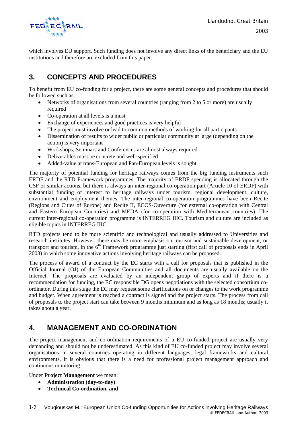

which involves EU support. Such funding does not involve any direct links of the beneficiary and the EU institutions and therefore are excluded from this paper.

### **3. CONCEPTS AND PROCEDURES**

To benefit from EU co-funding for a project, there are some general concepts and procedures that should be followed such as:

- Networks of organisations from several countries (ranging from 2 to 5 or more) are usually required
- Co-operation at all levels is a must
- Exchange of experiences and good practices is very helpful
- The project must involve or lead to common methods of working for all participants
- Dissemination of results to wider public or particular community at large (depending on the action) is very important
- Workshops, Seminars and Conferences are almost always required
- Deliverables must be concrete and well-specified
- Added-value at trans-European and Pan-European levels is sought.

The majority of potential funding for heritage railways comes from the big funding instruments such ERDF and the RTD Framework programmes. The majority of ERDF spending is allocated through the CSF or similar actions, but there is always an inter-regional co-operation part (Article 10 of ERDF) with substantial funding of interest to heritage railways under tourism, regional development, culture, environment and employment themes. The inter-regional co-operation programmes have been Recite (Regions and Cities of Europe) and Recite II, ECOS-Ouverture (for external co-operation with Central and Eastern European Countries) and MEDA (for co-operation with Mediterranean countries). The current inter-regional co-operation programme is INTERREG IIIC. Tourism and culture are included as eligible topics in INTERREG IIIC.

RTD projects tend to be more scientific and technological and usually addressed to Universities and research institutes. However, there may be more emphasis on tourism and sustainable development, or transport and tourism, in the  $6<sup>th</sup>$  Framework programme just starting (first call of proposals ends in April 2003) in which some innovative actions involving heritage railways can be proposed.

The process of award of a contract by the EC starts with a call for proposals that is published in the Official Journal (OJ) of the European Communities and all documents are usually available on the Internet. The proposals are evaluated by an independent group of experts and if there is a recommendation for funding, the EC responsible DG opens negotiations with the selected consortium coordinator. During this stage the EC may request some clarifications on or changes to the work programme and budget. When agreement is reached a contract is signed and the project starts. The process from call of proposals to the project start can take between 9 months minimum and as long as 18 months; usually it takes about a year.

#### **4. MANAGEMENT AND CO-ORDINATION**

The project management and co-ordination requirements of a EU co-funded project are usually very demanding and should not be underestimated. As this kind of EU co-funded project may involve several organisations in several countries operating in different languages, legal frameworks and cultural environments, it is obvious that there is a need for professional project management approach and continuous monitoring.

Under **Project Management** we mean:

- **Administration (day-to-day)**
- **Technical Co-ordination, and**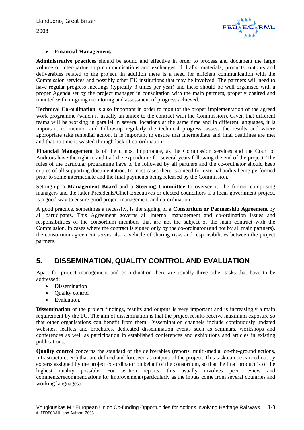

#### • **Financial Management.**

**Administrative practices** should be sound and effective in order to process and document the large volume of inter-partnership communications and exchanges of drafts, materials, products, outputs and deliverables related to the project. In addition there is a need for efficient communication with the Commission services and possibly other EU institutions that may be involved. The partners will need to have regular progress meetings (typically 3 times per year) and these should be well organised with a proper Agenda set by the project manager in consultation with the main partners, properly chaired and minuted with on-going monitoring and assessment of progress achieved.

**Technical Co-ordination** is also important in order to monitor the proper implementation of the agreed work programme (which is usually an annex to the contract with the Commission). Given that different teams will be working in parallel in several locations at the same time and in different languages, it is important to monitor and follow-up regularly the technical progress, assess the results and where appropriate take remedial action. It is important to ensure that intermediate and final deadlines are met and that no time is wasted through lack of co-ordination.

**Financial Management** is of the utmost importance, as the Commission services and the Court of Auditors have the right to audit all the expenditure for several years following the end of the project. The rules of the particular programme have to be followed by all partners and the co-ordinator should keep copies of all supporting documentation. In most cases there is a need for external audits being performed prior to some intermediate and the final payments being released by the Commission.

Setting-up a **Management Board** and a **Steering Committee** to oversee it, the former comprising managers and the latter Presidents/Chief Executives or elected councillors if a local government project, is a good way to ensure good project management and co-ordination.

A good practice, sometimes a necessity, is the signing of a **Consortium or Partnership Agreement** by all participants. This Agreement governs all internal management and co-ordination issues and responsibilities of the consortium members that are not the subject of the main contract with the Commission. In cases where the contract is signed only by the co-ordinator (and not by all main partners), the consortium agreement serves also a vehicle of sharing risks and responsibilities between the project partners.

### **5. DISSEMINATION, QUALITY CONTROL AND EVALUATION**

Apart for project management and co-ordination there are usually three other tasks that have to be addressed:

- Dissemination
- Quality control
- Evaluation.

**Dissemination** of the project findings, results and outputs is very important and is increasingly a main requirement by the EC. The aim of dissemination is that the project results receive maximum exposure so that other organisations can benefit from them. Dissemination channels include continuously updated websites, leaflets and brochures, dedicated dissemination events such as seminars, workshops and conferences as well as participation in established conferences and exhibitions and articles in existing publications.

**Quality control** concerns the standard of the deliverables (reports, multi-media, on-the-ground actions, infrastructure, etc) that are defined and foreseen as outputs of the project. This task can be carried out by experts assigned by the project co-ordinator on behalf of the consortium, so that the final product is of the highest quality possible. For written reports, this usually involves peer review and comments/recommendations for improvement (particularly as the inputs come from several countries and working languages).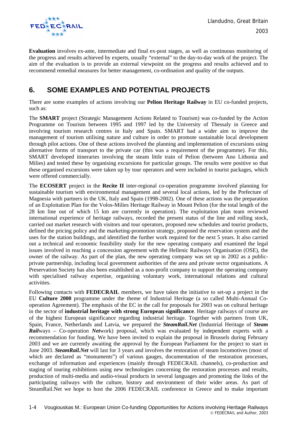

**Evaluation** involves ex-ante, intermediate and final ex-post stages, as well as continuous monitoring of the progress and results achieved by experts, usually "external" to the day-to-day work of the project. The aim of the evaluation is to provide an external viewpoint on the progress and results achieved and to recommend remedial measures for better management, co-ordination and quality of the outputs.

### **6. SOME EXAMPLES AND POTENTIAL PROJECTS**

There are some examples of actions involving our **Pelion Heritage Railway** in EU co-funded projects, such as:

The **SMART** project (Strategic Management Actions Related to Tourism) was co-funded by the Action Programme on Tourism between 1995 and 1997 led by the University of Thessaly in Greece and involving tourism research centres in Italy and Spain. SMART had a wider aim to improve the management of tourism utilising nature and culture in order to promote sustainable local development through pilot actions. One of these actions involved the planning and implementation of excursions using alternative forms of transport to the private car (this was a requirement of the programme). For this, SMART developed itineraries involving the steam little train of Pelion (between Ano Lithonia and Milies) and tested these by organising excursions for particular groups. The results were positive so that these organised excursions were taken up by tour operators and were included in tourist packages, which were offered commercially.

The **ECOSERT** project in the **Recite II** inter-regional co-operation programme involved planning for sustainable tourism with environmental management and several local actions, led by the Prefecture of Magnesia with partners in the UK, Italy and Spain (1998-2002). One of these actions was the preparation of an Exploitation Plan for the Volos-Milies Heritage Railway in Mount Pelion (for the total length of the 28 km line out of which 15 km are currently in operation). The exploitation plan team reviewed international experience of heritage railways, recorded the present status of the line and rolling stock, carried out market research with visitors and tour operators, proposed new schedules and tourist products, defined the pricing policy and the marketing-promotion strategy, proposed the reservation system and the uses for the station buildings, and identified the further work required for the next 5 years. It also carried out a technical and economic feasibility study for the new operating company and examined the legal issues involved in reaching a concession agreement with the Hellenic Railways Organisation (OSE), the owner of the railway. As part of the plan, the new operating company was set up in 2002 as a publicprivate partnership, including local government authorities of the area and private sector organisations. A Preservation Society has also been established as a non-profit company to support the operating company with specialised railway expertise, organising voluntary work, international relations and cultural activities.

Following contacts with **FEDECRAIL** members, we have taken the initiative to set-up a project in the EU **Culture 2000** programme under the theme of Industrial Heritage (a so called Multi-Annual Cooperation Agreement). The emphasis of the EC in the call for proposals for 2003 was on cultural heritage in the sector of **industrial heritage with strong European significance**. Heritage railways of course are of the highest European significance regarding industrial heritage. Together with partners from UK, Spain, France, Netherlands and Latvia, we prepared the *SteamRail.Net* (Industrial Heritage of *Steam Rail*ways – Co-operation *Net*work) proposal, which was evaluated by independent experts with a recommendation for funding. We have been invited to explain the proposal in Brussels during February 2003 and we are currently awaiting the approval by the European Parliament for the project to start in June 2003. *SteamRail.Net* will last for 3 years and involves the restoration of steam locomotives (most of which are declared as "monuments") of various gauges, documentation of the restoration processes, exchange of information and experiences (mainly through FEDECRAIL channels), co-production and staging of touring exhibitions using new technologies concerning the restoration processes and results, production of multi-media and audio-visual products in several languages and promoting the links of the participating railways with the culture, history and environment of their wider areas. As part of SteamRail.Net we hope to host the 2006 FEDECRAIL conference in Greece and to make important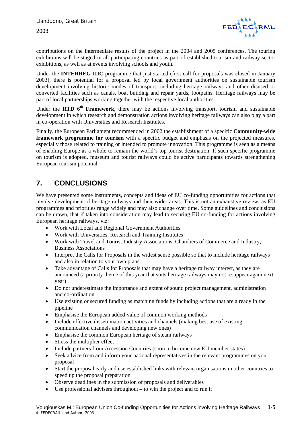

contributions on the intermediate results of the project in the 2004 and 2005 conferences. The touring exhibitions will be staged in all participating countries as part of established tourism and railway sector exhibitions, as well as at events involving schools and youth.

Under the **INTERREG IIIC** programme that just started (first call for proposals was closed in January 2003), there is potential for a proposal led by local government authorities on sustainable tourism development involving historic modes of transport, including heritage railways and other disused or converted facilities such as canals, boat building and repair yards, footpaths. Heritage railways may be part of local partnerships working together with the respective local authorities.

Under the **RTD 6th Framework**, there may be actions involving transport, tourism and sustainable development in which research and demonstration actions involving heritage railways can also play a part in co-operation with Universities and Research Institutes.

Finally, the European Parliament recommended in 2002 the establishment of a specific **Community-wide framework programme for tourism** with a specific budget and emphasis on the projected measures, especially those related to training or intended to promote innovation. This programme is seen as a means of enabling Europe as a whole to remain the world's top tourist destination. If such specific programme on tourism is adopted, museum and tourist railways could be active participants towards strengthening European tourism potential.

### **7. CONCLUSIONS**

We have presented some instruments, concepts and ideas of EU co-funding opportunities for actions that involve development of heritage railways and their wider areas. This is not an exhaustive review, as EU programmes and priorities range widely and may also change over time. Some guidelines and conclusions can be drawn, that if taken into consideration may lead to securing EU co-funding for actions involving European heritage railways, viz:

- Work with Local and Regional Government Authorities
- Work with Universities, Research and Training Institutes
- Work with Travel and Tourist Industry Associations, Chambers of Commerce and Industry, Business Associations
- Interpret the Calls for Proposals in the widest sense possible so that to include heritage railways and also in relation to your own plans
- Take advantage of Calls for Proposals that may have a heritage railway interest, as they are announced (a priority theme of this year that suits heritage railways may not re-appear again next year)
- Do not underestimate the importance and extent of sound project management, administration and co-ordination
- Use existing or secured funding as matching funds by including actions that are already in the pipeline
- Emphasise the European added-value of common working methods
- Include effective dissemination activities and channels (making best use of existing communication channels and developing new ones)
- Emphasise the common European heritage of steam railways
- Stress the multiplier effect
- Include partners from Accession Countries (soon to become new EU member states)
- Seek advice from and inform your national representatives in the relevant programmes on your proposal
- Start the proposal early and use established links with relevant organisations in other countries to speed up the proposal preparation
- Observe deadlines in the submission of proposals and deliverables
- Use professional advisers throughout  $-$  to win the project and to run it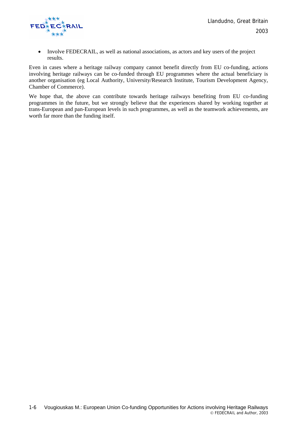

• Involve FEDECRAIL, as well as national associations, as actors and key users of the project results.

Even in cases where a heritage railway company cannot benefit directly from EU co-funding, actions involving heritage railways can be co-funded through EU programmes where the actual beneficiary is another organisation (eg Local Authority, University/Research Institute, Tourism Development Agency, Chamber of Commerce).

We hope that, the above can contribute towards heritage railways benefiting from EU co-funding programmes in the future, but we strongly believe that the experiences shared by working together at trans-European and pan-European levels in such programmes, as well as the teamwork achievements, are worth far more than the funding itself.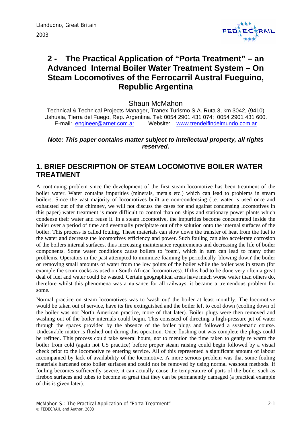

# <span id="page-10-0"></span>**2 - The Practical Application of "Porta Treatment" – an Advanced Internal Boiler Water Treatment System – On Steam Locomotives of the Ferrocarril Austral Fueguino, Republic Argentina**

Shaun McMahon

Technical & Technical Projects Manager, Tranex Turismo S.A. Ruta 3, km 3042, (9410) Ushuaia, Tierra del Fuego, Rep. Argentina. Tel: 0054 2901 431 074; 0054 2901 431 600. E-mail: engineer@arnet.com.ar Website: www.trendelfindelmundo.com.ar

#### *Note: This paper contains matter subject to intellectual property, all rights reserved.*

### **1. BRIEF DESCRIPTION OF STEAM LOCOMOTIVE BOILER WATER TREATMENT**

A continuing problem since the development of the first steam locomotive has been treatment of the boiler water. Water contains impurities (minerals, metals etc.) which can lead to problems in steam boilers. Since the vast majority of locomotives built are non-condensing (i.e. water is used once and exhausted out of the chimney, we will not discuss the cases for and against condensing locomotives in this paper) water treatment is more difficult to control than on ships and stationary power plants which condense their water and reuse it. In a steam locomotive, the impurities become concentrated inside the boiler over a period of time and eventually precipitate out of the solution onto the internal surfaces of the boiler. This process is called fouling. These materials can slow down the transfer of heat from the fuel to the water and decrease the locomotives efficiency and power. Such fouling can also accelerate corrosion of the boilers internal surfaces, thus increasing maintenance requirements and decreasing the life of boiler components. Some water conditions cause boilers to 'foam', which in turn can lead to many other problems. Operators in the past attempted to minimize foaming by periodically 'blowing down' the boiler or removing small amounts of water from the low points of the boiler while the boiler was in steam (for example the scum cocks as used on South African locomotives). If this had to be done very often a great deal of fuel and water could be wasted. Certain geographical areas have much worse water than others do, therefore whilst this phenomena was a nuisance for all railways, it became a tremendous problem for some.

Normal practice on steam locomotives was to 'wash out' the boiler at least monthly. The locomotive would be taken out of service, have its fire extinguished and the boiler left to cool down (cooling down of the boiler was not North American practice, more of that later). Boiler plugs were then removed and washing out of the boiler internals could begin. This consisted of directing a high-pressure jet of water through the spaces provided by the absence of the boiler plugs and followed a systematic course. Undesirable matter is flushed out during this operation. Once flushing out was complete the plugs could be refitted. This process could take several hours, not to mention the time taken to gently re warm the boiler from cold (again not US practice) before proper steam raising could begin followed by a visual check prior to the locomotive re entering service. All of this represented a significant amount of labour accompanied by lack of availability of the locomotive. A more serious problem was that some fouling materials hardened onto boiler surfaces and could not be removed by using normal washout methods. If fouling becomes sufficiently severe, it can actually cause the temperature of parts of the boiler such as firebox surfaces and tubes to become so great that they can be permanently damaged (a practical example of this is given later).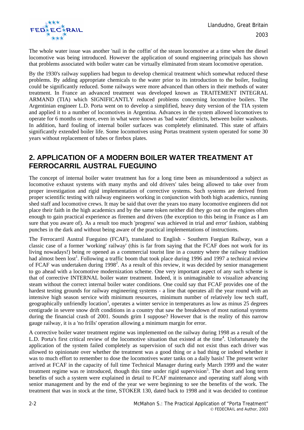The whole water issue was another 'nail in the coffin' of the steam locomotive at a time when the diesel locomotive was being introduced. However the application of sound engineering principals has shown that problems associated with boiler water can be virtually eliminated from steam locomotive operation.

By the 1930's railway suppliers had begun to develop chemical treatment which somewhat reduced these problems. By adding appropriate chemicals to the water prior to its introduction to the boiler, fouling could be significantly reduced. Some railways were more advanced than others in their methods of water treatment. In France an advanced treatment was developed known as TRAITEMENT INTEGRAL ARMAND (TIA) which SIGNIFICANTLY reduced problems concerning locomotive boilers. The Argentinian engineer L.D. Porta went on to develop a simplified, heavy duty version of the TIA system and applied it to a number of locomotives in Argentina. Advances in the system allowed locomotives to operate for 6 months or more, even in what were known as 'bad water' districts, between boiler washouts. In addition, hard fouling of internal boiler surfaces was completely eliminated. This state of affairs significantly extended boiler life. Some locomotives using Portas treatment system operated for some 30 years without replacement of tubes or firebox plates.

### **2. APPLICATION OF A MODERN BOILER WATER TREATMENT AT FERROCARRIL AUSTRAL FUEGUINO**

The concept of internal boiler water treatment has for a long time been as misunderstood a subject as locomotive exhaust systems with many myths and old drivers' tales being allowed to take over from proper investigation and rigid implementation of corrective systems. Such systems are derived from proper scientific testing with railway engineers working in conjunction with both high academics, running shed staff and locomotive crews. It may be said that over the years too many locomotive engineers did not place their faith in the high academics and by the same token neither did they go out on the engines often enough to gain practical experience as firemen and drivers (the exception to this being in France as I am sure that you aware of). As a result too much 'progress' was achieved in trial and error' fashion, stabbing punches in the dark and without being aware of the practical implementations of instructions.

The Ferrocarril Austral Fueguino (FCAF), translated to English - Southern Fuegian Railway, was a classic case of a former 'working' railway' (this is far from saying that the FCAF does not work for its living nowadays!) being re opened as a commercial tourist line in a country where the railway tradition had almost been lost<sup>1</sup>. Following a traffic boom that took place during 1996 and 1997 a technical review of FCAF was undertaken during  $1998<sup>2</sup>$ . As a result of this review, it was decided by senior management to go ahead with a locomotive modernization scheme. One very important aspect of any such scheme is that of corrective INTERNAL boiler water treatment. Indeed, it is unimaginable to visualize advancing steam without the correct internal boiler water conditions. One could say that FCAF provides one of the hardest testing grounds for railway engineering systems - a line that operates all the year round with an intensive high season service with minimum resources, minimum number of relatively low tech staff, geographically unfriendly location<sup>3</sup>, operates a winter service in temperatures as low as minus 25 degrees centigrade in severe snow drift conditions in a country that saw the breakdown of most national systems during the financial crash of 2001. Sounds grim I suppose? However that is the reality of this narrow gauge railway, it is a 'no frills' operation allowing a minimum margin for error.

A corrective boiler water treatment regime was implemented on the railway during 1998 as a result of the L.D. Porta's first critical review of the locomotive situation that existed at the time<sup>4</sup>. Unfortunately the application of the system failed completely as supervision of such did not exist thus each driver was allowed to opinionate over whether the treatment was a good thing or a bad thing or indeed whether it was to much effort to remember to dose the locomotives water tanks on a daily basis! The present writer arrived at FCAF in the capacity of full time Technical Manager during early March 1999 and the water treatment regime was re introduced, though this time under rigid supervision<sup>5</sup>. The short and long term benefits of such a system were explained in detail to FCAF maintenance and operating staff along with senior management and by the end of the year we were beginning to see the benefits of the work. The treatment that was in stock at the time, STOKER 130, dated back to 1998 and it was decided to continue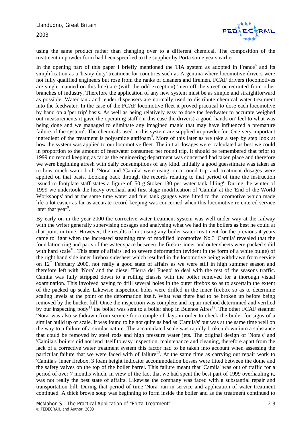

using the same product rather than changing over to a different chemical. The composition of the treatment in powder form had been specified to the supplier by Porta some years earlier.

In the opening part of this paper I briefly mentioned the TIA system as adopted in France<sup>6</sup> and its simplification as a 'heavy duty' treatment for countries such as Argentina where locomotive drivers were not fully qualified engineers but rose from the ranks of cleaners and firemen. FCAF drivers (locomotives are single manned on this line) are (with the odd exception) 'men off the street' or recruited from other branches of industry. Therefore the application of any new system must be as simple and straightforward as possible. Water tank and tender dispensers are normally used to distribute chemical water treatment into the feedwater. In the case of the FCAF locomotive fleet it proved practical to dose each locomotive by hand on a 'per trip' basis. As well as being relatively easy to dose the feedwater to accurate weighed out measurements it gave the operating staff (in this case the drivers) a good 'hands on' feel to what was being done and we managed to eliminate any imagined magic that may have influenced a premature failure of the system<sup>7</sup>. The chemicals used in this system are supplied in powder for. One very important ingredient of the treatment is polyamide antifoam<sup>8</sup>. More of this later as we take a step by step look at how the system was applied to our locomotive fleet. The initial dosages were calculated as best we could in proportion to the amount of feedwater consumed per round trip. It should be remembered that prior to 1999 no record keeping as far as the engineering department was concerned had taken place and therefore we were beginning afresh with daily consumptions of any kind. Initially a good guesstimate was taken as to how much water both 'Nora' and 'Camila' were using on a round trip and treatment dosages were applied on that basis. Looking back through the records relating to that period of time the instruction issued to footplate staff states a figure of '50 g Stoker 130 per water tank filling'. During the winter of 1999 we undertook the heavy overhaul and first stage modification of 'Camila' at the 'End of the World Workshops' and at the same time water and fuel tank gauges were fitted to the locomotive which made life a lot easier as far as accurate record keeping was concerned when this locomotive re entered service later that year<sup>9</sup>.

By early on in the year 2000 the corrective water treatment system was well under way at the railway with the writer generally supervising dosages and analysing what we had in the boilers as best he could at that point in time. However, the results of not using any boiler water treatment for the previous 4 years came to light when the increased steaming rate of modified locomotive No.3 'Camila' revealed that the foundation ring and parts of the water space between the firebox inner and outer sheets were packed solid with hard scale<sup>10</sup>. This state of affairs led to severe deformation (evident in the form of a white bulge) of the right hand side inner firebox sidesheet which resulted in the locomotive being withdrawn from service on  $12<sup>th</sup>$  February 2000, not really a good state of affairs as we were still in high summer season and therefore left with 'Nora' and the diesel 'Tierra del Fuego' to deal with the rest of the seasons traffic. Camila was fully stripped down to a rolling chassis with the boiler removed for a thorough visual examination. This involved having to drill several holes in the outer firebox so as to ascertain the extent of the packed up scale. Likewise inspection holes were drilled in the inner firebox so as to determine scaling levels at the point of the deformation itself. What was there had to be broken up before being removed by the bucket full. Once the inspection was complete and repair method determined and verified by our inspecting body<sup>11</sup> the boiler was sent to a boiler shop in Buenos Aires<sup>12</sup>. The other FCAF steamer 'Nora' was also withdrawn from service for a couple of days in order to check the boiler for signs of a similar build up of scale. It was found to be not quite as bad as 'Camila's' but was at the same time well on the way to a failure of a similar nature. The accumulated scale was rapidly broken down into a substance that could be removed by steel rods and high pressure water jets. The original design of 'Nora's' and 'Camila's' boilers did not lend itself to easy inspection, maintenance and cleaning, therefore apart from the lack of a corrective water treatment system this factor had to be taken into account when assessing the particular failure that we were faced with of failure<sup>13</sup>. At the same time as carrying out repair work to 'Camila's' inner firebox, 3 foam height indicator accommodation bosses were fitted between the dome and the safety valves on the top of the boiler barrel. This failure meant that 'Camila' was out of traffic for a period of over 7 months which, in view of the fact that we had spent the best part of 1999 overhauling it, was not really the best state of affairs. Likewise the company was faced with a substantial repair and transportation bill. During that period of time 'Nora' ran in service and application of water treatment continued. A thick brown soup was beginning to form inside the boiler and as the treatment continued to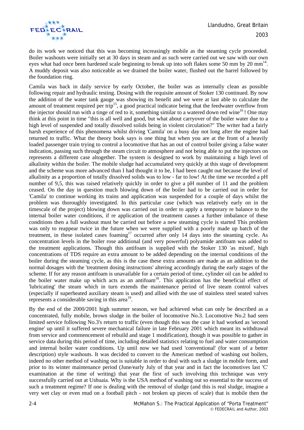

do its work we noticed that this was becoming increasingly mobile as the steaming cycle proceeded. Boiler washouts were initially set at 30 days in steam and as such were carried out we saw with our own eyes what had once been hardened scale beginning to break up into soft flakes some 50 mm by 20 mm<sup>14</sup>. A muddy deposit was also noticeable as we drained the boiler water, flushed out the barrel followed by the foundation ring.

Camila was back in daily service by early October, the boiler was as internally clean as possible following repair and hydraulic testing. Dosing with the requisite amount of Stoker 130 continued. By now the addition of the water tank gauge was showing its benefit and we were at last able to calculate the amount of treatment required per trip<sup>15</sup>, a good practical indicator being that the feedwater overflow from the injector should run with a tinge of red to it, something similar to a watered down red wine<sup>16</sup>! One may think at this point in time "this is all well and good, but what about carryover of the boiler water due to a high level of suspended and totally dissolved solids being in violent circulation?" The writer had a fairly harsh experience of this phenomena whilst driving 'Camila' on a busy day not long after the engine had returned to traffic. What the theory book says is one thing but when you are at the front of a heavily loaded passenger train trying to control a locomotive that has an out of control boiler giving a false water indication, passing such through the steam circuit to atmosphere and not being able to put the injectors on represents a different case altogether. The system is designed to work by maintaining a high level of alkalinity within the boiler. The mobile sludge had accumulated very quickly at this stage of development and the scheme was more advanced than I had thought it to be, I had been caught out because the level of alkalinity as a proportion of totally dissolved solids was to low - far to low! At the time we recorded a pH number of 9,5, this was raised relatively quickly in order to give a pH number of 11 and the problem ceased. On the day in question much blowing down of the boiler had to be carried out in order for 'Camila' to continue working its trains and application was suspended for a couple of days whilst the problem was thoroughly investigated. In this particular case (which was relatively early on in the timescale of the project) blowing down was carried out in order to apply a temporary re balance to the internal boiler water conditions, if re application of the treatment causes a further imbalance of these conditions then a full washout must be carried out before a new steaming cycle is started This problem was only to reappear twice in the future when we were supplied with a poorly made up batch of the treatment, in these isolated cases foaming<sup>17</sup> occurred after only 14 days into the steaming cycle. As concentration levels in the boiler rose additional (and very powerful) polyamide antifoam was added to the treatment applications. Though this antifoam is supplied with the Stoker 130 'as mixed', high concentrations of TDS require an extra amount to be added depending on the internal conditions of the boiler during the steaming cycle, as this is the case these extra amounts are made as an addition to the normal dosages with the 'treatment dosing instructions' altering accordingly during the early stages of the scheme. If for any reason antifoam is unavailable for a certain period of time, cylinder oil can be added to the boiler water make up which acts as an antifoam<sup>18</sup>. This application has the beneficial effect of 'lubricating' the steam which in turn extends the maintenance period of live steam control valves (especially if superheated auxiliary steam is used) and allied with the use of stainless steel seated valves represents a considerable saving in this area<sup>19</sup>.

By the end of the 2000/2001 high summer season, we had achieved what can only be described as a concentrated, fully mobile, brown sludge in the boiler of locomotive No.3. Locomotive No.2 had seen limited service following No.3's return to traffic (even though this was the case it had worked as 'second engine' up until it suffered severe mechanical failure in late February 2001 which meant its withdrawal from service and commencement of rebuild and stage 1 modification), though it was possible to gather in service data during this period of time, including detailed statistics relating to fuel and water consumption and internal boiler water conditions. Up until now we had used 'conventional' (for want of a better description) style washouts. It was decided to convert to the American method of washing out boilers, indeed no other method of washing out is suitable in order to deal with such a sludge in mobile form, and prior to its winter maintenance period (June/early July of that year and in fact the locomotives last 'C' examination at the time of writing) that year the first of such involving this technique was very successfully carried out at Ushuaia. Why is the USA method of washing out so essential to the success of such a treatment regime? If one is dealing with the removal of sludge (and this is real sludge, imagine a very wet clay or even mud on a football pitch - not broken up pieces of scale) that is mobile then the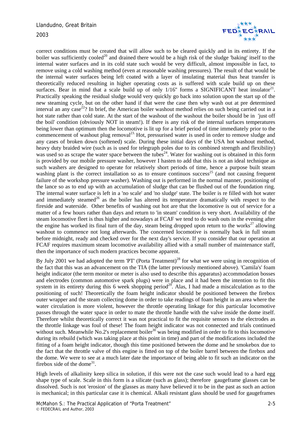

correct conditions must be created that will allow such to be cleared quickly and in its entirety. If the boiler was sufficiently cooled<sup>20</sup> and drained there would be a high risk of the sludge 'baking' itself to the internal water surfaces and in its cold state such would be very difficult, almost impossible in fact, to remove using a cold washing method (even at reasonable washing pressures). The result of that would be the internal water surfaces being left coated with a layer of insulating material thus heat transfer is theoretically reduced resulting in higher operating costs as is suffered with scale build up on these surfaces. Bear in mind that a scale build up of only  $1/16$ " forms a SIGNIFICANT heat insulator<sup>21</sup>. Practically speaking the residual sludge would very quickly go back into solution upon the start up of the new steaming cycle, but on the other hand if that were the case then why wash out at pre determined interval an any case<sup>22</sup>? In brief, the American boiler washout method relies on such being carried out in a hot state rather than cold state. At the start of the washout of the washout the boiler should be in 'just off the boil' condition (obviously NOT in steam!). If there is any risk of the internal surfaces temperatures being lower than optimum then the locomotive is lit up for a brief period of time immediately prior to the commencement of washout plug removal<sup>23.</sup> Hot, pressurised water is used in order to remove sludge and any cases of broken down (softened) scale. During these initial days of the USA hot washout method, heavy duty braided wire (such as is used for telegraph poles due to its combined strength and flexibility) was used so as scrape the water space between the tubes<sup>24</sup>. Water for washing out is obtained in this form is provided by our mobile pressure washer, however I hasten to add that this is not an ideal technique as such washers are designed to operate for relatively short periods of time, hence a purpose built steam washing plant is the correct installation so as to ensure continuos success<sup>25</sup> (and not causing frequent failure of the workshop pressure washer). Washing out is performed in the normal manner, positioning of the lance so as to end up with an accumulation of sludge that can be flushed out of the foundation ring. The internal water surface is left in a 'no scale' and 'no sludge' state. The boiler is re filled with hot water and immediately steamed<sup>26</sup> as the boiler has altered its temperature dramatically with respect to the fireside and waterside. Other benefits of washing out hot are that the locomotive is out of service for a matter of a few hours rather than days and return to 'in steam' condition is very short. Availability of the steam locomotive fleet is thus higher and nowadays at FCAF we tend to do wash outs in the evening after the engine has worked its final turn of the day, steam being dropped upon return to the works $^{27}$  allowing washout to commence not long afterwards. The concerned locomotive is normally back in full steam before midnight, ready and checked over for the next day's service. If you consider that our operation at FCAF requires maximum steam locomotive availability allied with a small number of maintenance staff, then the importance of such modern practices become apparent.

By July 2001 we had adopted the term 'PT' (Porta Treatment)<sup>28</sup> for what we were using in recognition of the fact that this was an advancement on the TIA (the latter previously mentioned above). 'Camila's' foam height indicator (the term monitor or meter is also used to describe this apparatus) accommodation bosses and electrodes (common automotive spark plugs) were in place and it had been the intention to fit this system in its entirety during this 6 week shopping period<sup>29</sup>. Alas, I had made a miscalculation as to the positioning of such! Theoretically the foam height indicator should be positioned between the firebox outer wrapper and the steam collecting dome in order to take readings of foam height in an area where the water circulation is more violent, however the throttle operating linkage for this particular locomotive passes through the water space in order to mate the throttle handle with the valve inside the dome itself. Therefore whilst theoretically correct it was not practical to fit the requisite sensors to the electrodes as the throttle linkage was foul of these! The foam height indicator was not connected and trials continued without such. Meanwhile No.2's replacement boiler<sup>30</sup> was being modified in order to fit to this locomotive during its rebuild (which was taking place at this point in time) and part of the modifications included the fitting of a foam height indicator, though this time positioned between the dome and he smokebox due to the fact that the throttle valve of this engine is fitted on top of the boiler barrel between the firebox and the dome. We were to see at a much later date the importance of being able to fit such an indicator on the firebox side of the dome<sup>31</sup>.

High levels of alkalinity keep silica in solution, if this were not the case such would lead to a hard egg shape type of scale. Scale in this form is a silicate (such as glass); therefore gaugeframe glasses can be dissolved. Such is not 'erosion' of the glasses as many have believed it to be in the past as such an action is mechanical; in this particular case it is chemical. Alkali resistant glass should be used for gaugeframes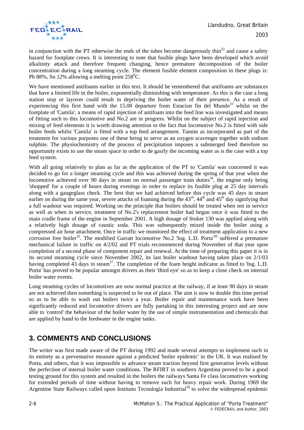

in conjunction with the PT otherwise the ends of the tubes become dangerously thin<sup>32</sup> and cause a safety hazard for footplate crews. It is interesting to note that fusible plugs have been developed which avoid alkalinity attack and therefore frequent changing, hence premature decomposition of the boiler concentration during a long steaming cycle. The element fusible element composition in these plugs is: Pb 88%, Sn 12% allowing a melting point  $258^{\circ}$ C.

We have mentioned antifoams earlier in this text. It should be remembered that antifoams are substances that have a limited life in the boiler, exponentially diminishing with temperature. As this is the case a long station stop or layover could result in depriving the boiler water of their presence. As a result of experiencing this first hand with the  $15.00$  departure from Estacion fin del Mundo<sup>33</sup> whilst on the footplate of 'Camila', a means of rapid injection of antifoam into the feed line was investigated and means of fitting such to this locomotive and No.2 are in progress. Whilst on the subject of rapid injection and mixing of feed elements it is worth drawing attention to the fact that locomotive No.2 is fitted with side boiler feeds whilst 'Camila' is fitted with a top feed arrangement. Tannin as incorporated as part of the treatment for various purposes one of these being to serve as an oxygen scavenger together with sodium sulphite. The physiochemistry of the process of precipitation imposes a submerged feed therefore no opportunity exists to use the steam space in order to de gasify the incoming water as is the case with a top feed system.

With all going relatively to plan as far as the application of the PT to 'Camila' was concerned it was decided to go for a longer steaming cycle and this was achieved during the spring of that year when the locomotive achieved over 90 days in steam on normal passenger train duties<sup>34</sup>, the engine only being 'shopped' for a couple of hours during evenings in order to replace its fusible plug at 25 day intervals along with a gaugeglass check. The best that we had achieved before this cycle was 45 days in steam earlier on during the same year, severe attacks of foaming during the  $43<sup>rd</sup>$ ,  $44<sup>th</sup>$  and  $45<sup>th</sup>$  day signifying that a full washout was required. Working on the principle that boilers should be treated when not in service as well as when in service, treatment of No.2's replacement boiler had begun once it was fitted to the main cradle frame of the engine in September 2001. A high dosage of Stoker 130 was applied along with a relatively high dosage of caustic soda. This was subsequently mixed inside the boiler using a compressed air hose attachment. Once in traffic we monitored the effect of treatment application to a new corrosion free boiler<sup>35</sup>. The modified Garratt locomotive No.2 'Ing. L.D. Porta<sup>36</sup> suffered a premature mechanical failure in traffic on 4/2/02 and PT trials recommenced during November of that year upon completion of a second phase of component repair and renewal. At the time of preparing this paper it is in its second steaming cycle since November 2002, its last boiler washout having taken place on 2/1/03 having completed 43 days in steam<sup>37</sup>. The completion of the foam height indicator as fitted to 'Ing. L.D. Porta' has proved to be popular amongst drivers as their 'third eye' so as to keep a close check on internal boiler water events.

Long steaming cycles of locomotives are now normal practice at the railway, if at least 90 days in steam are not achieved then something is suspected to be out of place. The aim is now to double this time period so as to be able to wash out boilers twice a year. Boiler repair and maintenance work have been significantly reduced and locomotive drivers are fully partaking in this interesting project and are now able to 'control' the behaviour of the boiler water by the use of simple instrumentation and chemicals that are applied by hand to the feedwater in the engine tanks.

### **3. COMMENTS AND CONCLUSIONS**

The writer was first made aware of the PT during 1992 and made several attempts to implement such in its entirety as a preventative measure against a predicted 'boiler epidemic' in the UK. It was realised by Porta, and others, that it was impossible to advance steam traction beyond first generation levels without the perfection of internal boiler water conditions. The RFIRT in southern Argentina proved to be a good testing ground for this system and resulted in the boilers the railways Santa Fe class locomotives working for extended periods of time without having to remove such for heavy repair work. During 1969 the Argentine State Railways called upon Instituto Tecnologia Industrial<sup>38</sup> to solve the widespread epidemic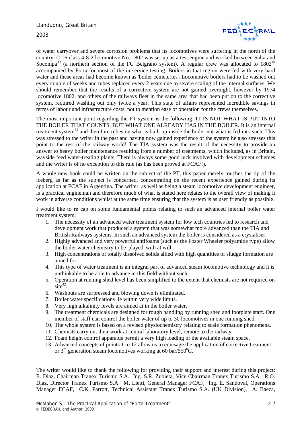

of water carryover and severe corrosion problems that its locomotives were suffering in the north of the country. C 16 class 4-8-2 locomotive No. 1802 was set up as a test engine and worked between Salta and Socompa<sup>39</sup> (a northern section of the FC Belgrano system). A regular crew was allocated to  $1802^{40}$ accompanied by Porta for most of the in service testing. Boilers in that region were fed with very hard water and these areas had become known as 'boiler cemeteries'. Locomotive boilers had to be washed out every couple of weeks and tubes replaced every 2 years due to severe scaling of the internal surfaces. We should remember that the results of a corrective system are not gained overnight, however by 1974 locomotive 1802, and others of the railways fleet in the same area that had been put on to the corrective system, required washing out only twice a year. This state of affairs represented incredible savings in terms of labour and infrastructure costs, not to mention ease of operation for the crews themselves.

The most important point regarding the PT system is the following: IT IS NOT WHAT IS PUT INTO THE BOILER THAT COUNTS, BUT WHAT ONE ALREADY HAS IN THE BOILER. It is an internal treatment system $^{41}$  and therefore relies on what is built up inside the boiler not what is fed into such. This was stressed to the writer in the past and having now gained experience of the system he also stresses this point to the rest of the railway world! The TIA system was the result of the necessity to provide an answer to heavy boiler maintenance resulting from a number of treatments, which included, as in Britain, wayside feed water-treating plants. There is always some good luck involved with development schemes and the writer is of no exception to this rule (as has been proved at FCAF!).

A whole new book could be written on the subject of the PT, this paper merely touches the tip of the iceberg as far as the subject is concerned, concentrating on the recent experience gained during its application at FCAF in Argentina. The writer, as well as being a steam locomotive development engineer, is a practical engineman and therefore much of what is stated here relates to the overall view of making it work in adverse conditions whilst at the same time ensuring that the system is as user friendly as possible.

I would like to re cap on some fundamental points relating to such an advanced internal boiler water treatment system:

- 1. The necessity of an advanced water treatment system for low tech countries led to research and development work that produced a system that was somewhat more advanced than the TIA and British Railways systems. In such an advanced system the boiler is considered as a crystaliser.
- 2. Highly advanced and very powerful antifoams (such as the Foster Wheeler polyamide type) allow the boiler water chemistry to be 'played' with at will.
- 3. High concentrations of totally dissolved solids allied with high quantities of sludge formation are aimed for.
- 4. This type of water treatment is an integral part of advanced steam locomotive technology and it is unthinkable to be able to advance in this field without such.
- 5. Operation at running shed level has been simplified to the extent that chemists are not required on  $\sinh^{-42}$ .
- 6. Washouts are surpressed and blowing down is eliminated.
- 7. Boiler water specifications lie within very wide limits.
- 8. Very high alkalinity levels are aimed at in the boiler water.
- 9. The treatment chemicals are designed for rough handling by running shed and footplate staff. One member of staff can control the boiler water of up to 30 locomotives in one running shed.
- 10. The whole system is based on a revised physiochemistry relating to scale formation phenomena.
- 11. Chemists carry out their work at central laboratory level, remote to the railway.
- 12. Foam height control apparatus permit a very high loading of the available steam space.
- 13. Advanced concepts of points 1 to 12 allow us to envisage the application of corrective treatment or  $3<sup>rd</sup>$  generation steam locomotives working at 60 bar/550 $^0$ C.

The writer would like to thank the following for providing their support and interest during this project: E. Diaz, Chairman Tranex Turismo S.A. Ing. S.R. Zubieta, Vice Chairman Tranex Turismo S.A. R.O. Diaz, Director Tranex Turismo S.A. M. Lietti, General Manager FCAF, Ing. E. Sandoval, Operations Manager FCAF, C.K. Parrott, Technical Assistant Tranex Turismo S.A. (UK Division), A. Baeza,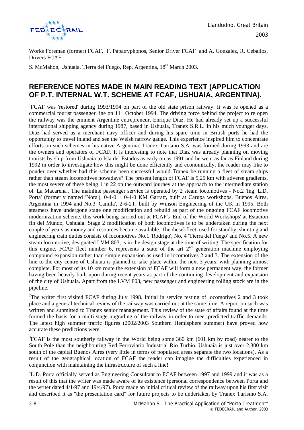

Works Foreman (former) FCAF, F. Papatryphonos, Senior Driver FCAF and A. Gonzalez, R. Ceballos, Drivers FCAF.

S. McMahon, Ushuaia, Tierra del Fuego, Rep. Argentina, 18<sup>th</sup> March 2003.

#### **REFERENCE NOTES MADE IN MAIN READING TEXT (APPLICATION OF P.T. INTERNAL W.T. SCHEME AT FCAF, USHUAIA, ARGENTINA).**

<sup>1</sup>FCAF was 'restored' during 1993/1994 on part of the old state prison railway. It was re opened as a commercial tourist passenger line on 11<sup>th</sup> October 1994. The driving force behind the project to re open the railway was the eminent Argentine entrepreneur, Enrique Diaz. He had already set up a successful international shipping agency during 1987, based in Ushuaia, Tranex S.R.L. In his much younger days, Diaz had served as a merchant navy officer and during his spare time in British ports he had the opportunity to travel inland and see the Welsh narrow gauge. This experience inspired him to concentrate efforts on such schemes in his native Argentina. Tranex Turismo S.A. was formed during 1993 and are the owners and operators of FCAF. It is interesting to note that Diaz was already planning on moving tourists by ship from Ushuaia to Isla del Estados as early on as 1991 and he went as far as Finland during 1992 in order to investigate how this might be done efficiently and economically, the reader may like to ponder over whether had this scheme been successful would Tranex be running a fleet of steam ships rather than steam locomotives nowadays? The present length of FCAF is 5,25 km with adverse gradients, the most severe of these being 1 in 22 on the outward journey at the approach to the intermediate station of 'La Macarena'. The mainline passenger service is operated by 2 steam locomotives - No.2 'Ing. L.D. Porta' (formerly named 'Nora'),  $0-4-0 + 0-4-0$  KM Garratt, built at Carupa workshops, Buenos Aires, Argentina in 1994 and No.3 'Camila', 2-6-2T, built by Winson Engineering of the UK in 1995. Both steamers have undergone stage one modification and rebuild as part of the ongoing FCAF locomotive modernization scheme, this work being carried out at FCAF's 'End of the World Workshops' at Estacion fin del Mundo, Ushuaia. Stage 2 modification of both locomotives is to be undertaken during the next couple of years as money and resources become available. The diesel fleet, used for standby, shunting and engineering train duties consists of locomotives No.1 'Rodrigo', No. 4 'Tierra del Fuego' and No.5. A new steam locomotive, designated LVM 803, is in the design stage at the time of writing. The specification for this engine, FCAF fleet number 6, represents a state of the art  $2<sup>nd</sup>$  generation machine employing compound expansion rather than simple expansion as used in locomotives 2 and 3. The extension of the line to the city centre of Ushuaia is planned to take place within the next 3 years, with planning almost complete. For most of its 10 km route the extension of FCAF will form a new permanent way, the former having been heavily built upon during recent years as part of the continuing development and expansion of the city of Ushuaia. Apart from the LVM 803, new passenger and engineering rolling stock are in the pipeline.

<sup>2</sup>The writer first visited FCAF during July 1998. Initial in service testing of locomotives 2 and 3 took place and a general technical review of the railway was carried out at the same time. A report on such was written and submitted to Tranex senior management. This review of the state of affairs found at the time formed the basis for a multi stage upgrading of the railway in order to meet predicted traffic demands. The latest high summer traffic figures (2002/2003 Southern Hemisphere summer) have proved how accurate these predictions were.

 $3$ FCAF is the most southerly railway in the World being some 360 km (601 km by road) nearer to the South Pole than the neighbouring Red Ferroviario Industrial Rio Turbio. Ushuaia is just over 2,300 km south of the capital Buenos Aires (very little in terms of populated areas separate the two locations). As a result of the geographical location of FCAF the reader can imagine the difficulties experienced in conjunction with maintaining the infrastructure of such a line!

<sup>4</sup>L.D. Porta officially served as Engineering Consultant to FCAF between 1997 and 1999 and it was as a result of this that the writer was made aware of its existence (personal correspondence between Porta and the writer dated 4/1/97 and 19/4/97). Porta made an initial critical review of the railway upon his first visit and described it as "the presentation card" for future projects to be undertaken by Tranex Turismo S.A.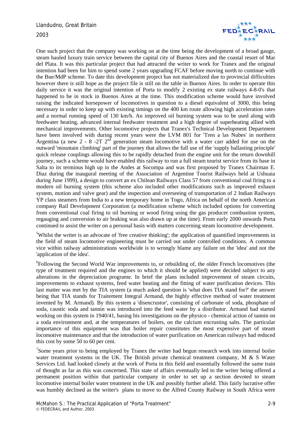

One such project that the company was working on at the time being the development of a broad gauge, steam hauled luxury train service between the capital city of Buenos Aires and the coastal resort of Mar del Plata. It was this particular project that had attracted the writer to work for Tranex and the original intention had been for him to spend some 2 years upgrading FCAF before moving north to continue with the Bue/MdP scheme. To date this development project has not materialized due to provincial difficulties however there is still hope as the project file is still on the table in Buenos Aires. In order to operate this daily service it was the original intention of Porta to modify 2 existing ex state railways 4-8-0's that happened to be in stock in Buenos Aires at the time. This modification scheme would have involved raising the indicated horsepower of locomotives in question to a diesel equivalent of 3000, this being necessary in order to keep up with existing timings on the 400 km route allowing high acceleration rates and a normal running speed of 130 km/h. An improved oil burning system was to be used along with feedwater heating, advanced internal feedwater treatment and a high degree of superheating allied with mechanical improvements. Other locomotive projects that Tranex's Technical Development Department have been involved with during recent years were the LVM 801 for 'Tren a las Nubes' in northern Argentina (a new  $2 - 8 - 2T$   $2^{nd}$  generation steam locomotive with a water carr added for use on the outward 'mountain climbing' part of the journey that allows the full use of the 'supply ballasting principle' quick release couplings allowing this to be rapidly detached from the engine unit for the return downhill journey, such a scheme would have enabled this railway to run a full steam tourist service from its base in Salta to its terminus high up in the Andes at Socompa and was first proposed by Tranex Chairman E. Diaz during the inaugural meeting of the Association of Argentine Tourist Railways held at Ushuaia during June 1999), a design to convert an ex Chilean Railways Class 57 from conventional coal firing to a modern oil burning system (this scheme also included other modifications such as improved exhaust system, motion and valve gear) and the inspection and overseeing of transportation of 2 Indian Railways YP class steamers from India to a new temporary home in Togo, Africa on behalf of the north American company Rail Development Corporation (a modification scheme which included options for converting from conventional coal firing to oil burning or wood firing using the gas producer combustion system, regauging and conversion to air braking was also drawn up at the time). From early 2000 onwards Porta continued to assist the writer on a personal basis with matters concerning steam locomotive development.

<sup>5</sup>Whilst the writer is an advocate of 'free creative thinking'; the application of quantified improvements in the field of steam locomotive engineering must be carried out under controlled conditions. A common vice within railway administrations worldwide is to wrongly blame any failure on the 'idea' and not the 'application of the idea'.

<sup>6</sup>Following the Second World War improvements to, or rebuilding of, the older French locomotives (the type of treatment required and the engines to which it should be applied) were decided subject to any alterations in the depreciation programe. In brief the plans included improvement of steam circuits, improvements to exhaust systems, feed water heating and the fitting of water purification devices. This last matter was met by the TIA system (a much asked question is 'what does TIA stand for?' the answer being that TIA stands for Traitement Integral Armand, the highly effective method of water treatment invented by M. Armand). By this system a 'disencrustor', consisting of carbonate of soda, phosphate of soda, caustic soda and tannin was introduced into the feed water by a distributor. Armand had started working on this system in 1940/41, basing his investigations on the physico - chemical action of tannin on a soda environment and, at the temperatures of boilers, on the calcium encrusting salts. The particular importance of this equipment was that boiler repair constitutes the most expensive part of steam locomotive maintenance and that the introduction of water purification on American railways had reduced this cost by some 50 to 60 per cent.

 $7$ Some years prior to being employed by Tranex the writer had begun research work into internal boiler water treatment systems in the UK. The British private chemical treatment company,  $M \& S$  Water Services Ltd. had looked closely at the work of Porta in this field and essentially followed the same train of thought as far as this was concerned. This state of affairs eventually led to the writer being offered a permanent position within that particular company in order to set up a section devoted to steam locomotive internal boiler water treatment in the UK and possibly further afield. This fairly lucrative offer was humbly declined as the writer's plans to move to the Alfred County Railway in South Africa were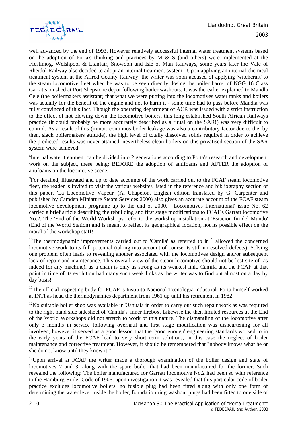

well advanced by the end of 1993. However relatively successful internal water treatment systems based on the adoption of Porta's thinking and practices by  $M \& S$  (and others) were implemented at the Ffestiniog, Welshpool & Llanfair, Snowdon and Isle of Man Railways, some years later the Vale of Rheidol Railway also decided to adopt an internal treatment system. Upon applying an internal chemical treatment system at the Alfred County Railway, the writer was soon accused of applying 'witchcraft' to the steam locomotive fleet when he was to be seen directly dosing the boiler barrel of NGG 16 Class Garratts on shed at Port Shepstone depot following boiler washouts. It was thereafter explained to Mandla Cele (the boilermakers assistant) that what we were putting into the locomotives water tanks and boilers was actually for the benefit of the engine and not to harm it - some time had to pass before Mandla was fully convinced of this fact. Though the operating department of ACR was issued with a strict instruction to the effect of not blowing down the locomotive boilers, this long established South African Railways practice (it could probably be more accurately described as a ritual on the SAR!) was very difficult to control. As a result of this (minor, continuos boiler leakage was also a contributory factor due to the, by then, slack boilermakers attitude), the high level of totally dissolved solids required in order to achieve the predicted results was never attained, nevertheless clean boilers on this privatised section of the SAR system were achieved.

<sup>8</sup>Internal water treatment can be divided into 2 generations according to Porta's research and development work on the subject, these being: BEFORE the adoption of antifoams and AFTER the adoption of antifoams on the locomotive scene.

<sup>9</sup>For detailed, illustrated and up to date accounts of the work carried out to the FCAF steam locomotive fleet, the reader is invited to visit the various websites listed in the reference and bibliography section of this paper. 'La Locomotive Vapeur' (A. Chapelon. English edition translated by G. Carpenter and published by Camden Miniature Steam Services 2000) also gives an accurate account of the FCAF steam locomotive development programe up to the end of 2000. 'Locomotives International' issue No. 62 carried a brief article describing the rebuilding and first stage modifications to FCAF's Garratt locomotive No.2. The 'End of the World Workshops' refer to the workshop installation at 'Estacion fin del Mundo' (End of the World Station) and is meant to reflect its geographical location, not its possible effect on the moral of the workshop staff!

<sup>10</sup>The thermodynamic improvements carried out to 'Camila' as referred to in  $9$  allowed the concerned locomotive work to its full potential (taking into account of course its still unresolved defects). Solving one problem often leads to revealing another associated with the locomotives design and/or subsequent lack of repair and maintenance. This overall view of the steam locomotive should not be lost site of (as indeed for any machine), as a chain is only as strong as its weakest link. Camila and the FCAF at that point in time of its evolution had many such weak links as the writer was to find out almost on a day by day basis!

<sup>11</sup>The official inspecting body for FCAF is Instituto Nacional Tecnologia Industrial. Porta himself worked at INTI as head the thermodynamics department from 1961 up until his retirement in 1982.

 $12$ No suitable boiler shop was available in Ushuaia in order to carry out such repair work as was required to the right hand side sidesheet of 'Camila's' inner firebox. Likewise the then limited resources at the End of the World Workshops did not stretch to work of this nature. The dismantling of the locomotive after only 3 months in service following overhaul and first stage modification was disheartening for all involved, however it served as a good lesson that the 'good enough' engineering standards worked to in the early years of the FCAF lead to very short term solutions, in this case the neglect of boiler maintenance and corrective treatment. However, it should be remembered that "nobody knows what he or she do not know until they know it!"

 $13$ Upon arrival at FCAF the writer made a thorough examination of the boiler design and state of locomotives 2 and 3, along with the spare boiler that had been manufactured for the former. Such revealed the following: The boiler manufactured for Garratt locomotive No.2 had been so with reference to the Hamburg Boiler Code of 1906, upon investigation it was revealed that this particular code of boiler practice excludes locomotive boilers, no fusible plug had been fitted along with only one form of determining the water level inside the boiler, foundation ring washout plugs had been fitted to one side of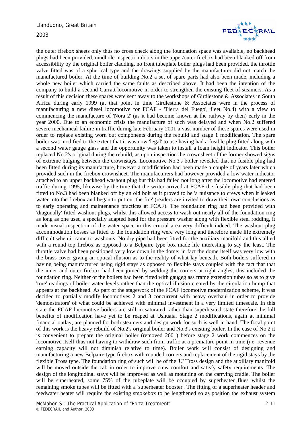

the outer firebox sheets only thus no cross check along the foundation space was available, no backhead plugs had been provided, mudhole inspection doors in the upper/outer firebox had been blanked off from accessibility by the original boiler cladding, no front tubeplate boiler plugs had been provided, the throttle valve fitted was of a spherical type and the drawings supplied by the manufacturer did not match the manufactured boiler. At the time of building No.2 a set of spare parts had also been made, including a whole new boiler which carried the same faults as described above. It had been the intention of the company to build a second Garratt locomotive in order to strengthen the existing fleet of steamers. As a result of this decision these spares were sent away to the workshops of Girdlestone & Associates in South Africa during early 1999 (at that point in time Girdlestone & Associates were in the process of manufacturing a new diesel locomotive for FCAF - 'Tierra del Fuego', fleet No.4) with a view to commencing the manufacture of 'Nora 2' (as it had become known at the railway by then) early in the year 2000. Due to an economic crisis the manufacture of such was delayed and when No.2 suffered severe mechanical failure in traffic during late February 2001 a vast number of these spares were used in order to replace existing worn out components during the rebuild and stage 1 modification. The spare boiler was modified to the extent that it was now 'legal' to use having had a fusible plug fitted along with a second water gauge glass and the opportunity was taken to install a foam height indicator. This boiler replaced No.2's original during the rebuild, as upon inspection the crownsheet of the former showed signs of extreme bulging between the crownstays. Locomotive No.3's boiler revealed that no fusible plug had been fitted during its manufacture, however a modification had been made a couple of years later which provided such in the firebox crownsheet. The manufacturers had however provided a low water indicator attached to an upper backhead washout plug but this had failed not long after the locomotive had entered traffic during 1995, likewise by the time that the writer arrived at FCAF the fusible plug that had been fitted to No.3 had been blanked off by an old bolt as it proved to be 'a nuisance to crews when it leaked water into the firebox and began to put out the fire' (readers are invited to draw their own conclusions as to early operating and maintenance practices at FCAF). The foundation ring had been provided with 'diagonally' fitted washout plugs, whilst this allowed access to wash out nearly all of the foundation ring as long as one used a specially adapted head for the pressure washer along with flexible steel rodding, it made visual inspection of the water space in this crucial area very difficult indeed. The washout plug accommodation bosses as fitted to the foundation ring were very long and therefore made life extremely difficult when it came to washouts. No dry pipe had been fitted for the auxiliary manifold and this allied with a round top firebox as opposed to a Belpaire type box made life interesting to say the least. The throttle valve had been positioned very low down in the dome; in fact the dome itself was very low with the brass cover giving an optical illusion as to the reality of what lay beneath. Both boilers suffered in having being manufactured using rigid stays as opposed to flexible stays coupled with the fact that that the inner and outer firebox had been joined by welding the corners at right angles, this included the foundation ring. Neither of the boilers had been fitted with gaugeglass frame extension tubes so as to give 'true' readings of boiler water levels rather than the optical illusion created by the circulation hump that appears at the backhead. As part of the stagework of the FCAF locomotive modernization scheme, it was decided to partially modify locomotives 2 and 3 concurrent with heavy overhaul in order to provide 'demonstrators' of what could be achieved with minimal investment in a very limited timescale. In this state the FCAF locomotive boilers are still in saturated rather than superheated state therefore the full benefits of modification have yet to be reaped at Ushuaia. Stage 2 modifications, again at minimal financial outlay, are planned for both steamers and design work for such is well in hand. The focal point of this work is the heavy rebuild of No.2's original boiler and No.3's existing boiler. In the case of No.2 it is convenient to prepare the original boiler (removed 2001) before stage 2 work commences on the locomotive itself thus not having to withdraw such from traffic at a premature point in time (i.e. revenue earning capacity will not diminish relative to time). Boiler work will consist of designing and manufacturing a new Belpaire type firebox with rounded corners and replacement of the rigid stays by the flexible Tross type. The foundation ring of such will be of the 'U' Tross design and the auxiliary manifold will be moved outside the cab in order to improve crew comfort and satisfy safety requirements. The design of the longitudinal stays will be improved as well as mounting on the carrying cradle. The boiler will be superheated, some 75% of the tubeplate will be occupied by superheater flues whilst the remaining smoke tubes will be fitted with a 'superheater booster'. The fitting of a superheater header and feedwater heater will require the existing smokebox to be lengthened so as position the exhaust system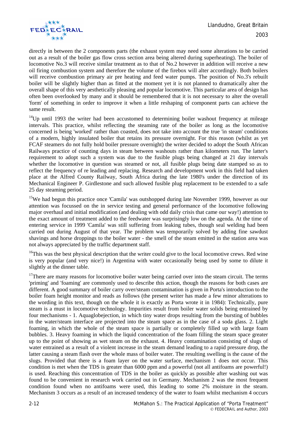

directly in between the 2 components parts (the exhaust system may need some alterations to be carried out as a result of the boiler gas flow cross section area being altered during superheating). The boiler of locomotive No.3 will receive similar treatment as to that of No.2 however in addition will receive a new oil firing combustion system and therefore the volume of the firebox will alter accordingly. Both boilers will receive combustion primary air pre heating and feed water pumps. The position of No.3's rebuilt boiler will be slightly higher than as fitted at the moment yet it is not planned to dramatically alter the overall shape of this very aesthetically pleasing and popular locomotive. This particular area of design has often been overlooked by many and it should be remembered that it is not necessary to alter the overall 'form' of something in order to improve it when a little reshaping of component parts can achieve the same result.

 $14$ Up until 1993 the writer had been accustomed to determining boiler washout frequency at mileage intervals. This practice, whilst reflecting the steaming rate of the boiler as long as the locomotive concerned is being 'worked' rather than coasted, does not take into account the true 'in steam' conditions of a modern, highly insulated boiler that retains its pressure overnight. For this reason (whilst as yet FCAF steamers do not fully hold boiler pressure overnight) the writer decided to adopt the South African Railways practice of counting days in steam between washouts rather than kilometers run. The latter's requirement to adopt such a system was due to the fusible plugs being changed at 21 day intervals whether the locomotive in question was steamed or not, all fusible plugs being date stamped so as to reflect the frequency of re leading and replacing. Research and development work in this field had taken place at the Alfred County Railway, South Africa during the late 1980's under the direction of its Mechanical Engineer P. Girdlestone and such allowed fusible plug replacement to be extended to a safe 25 day steaming period.

<sup>15</sup>We had begun this practice once 'Camila' was outshopped during late November 1999, however as our attention was focussed on the in service testing and general performance of the locomotive following major overhaul and initial modification (and dealing with odd daily crisis that came our way!) attention to the exact amount of treatment added to the feedwater was surprisingly low on the agenda. At the time of entering service in 1999 'Camila' was still suffering from leaking tubes, though seal welding had been carried out during August of that year. The problem was temporarily solved by adding fine sawdust shavings and horse droppings to the boiler water - the smell of the steam emitted in the station area was not always appreciated by the traffic department staff.

<sup>16</sup>This was the best physical description that the writer could give to the local locomotive crews. Red wine is very popular (and very nice!) in Argentina with water occasionally being used by some to dilute it slightly at the dinner table.

<sup>17</sup>There are many reasons for locomotive boiler water being carried over into the steam circuit. The terms 'priming' and 'foaming' are commonly used to describe this action, though the reasons for both cases are different. A good summary of boiler carry over/steam contamination is given in Porta's introduction to the boiler foam height monitor and reads as follows (the present writer has made a few minor alterations to the wording in this text, though on the whole it is exactly as Porta wrote it in 1984): Technically, pure steam is a must in locomotive technology. Impurities result from boiler water solids being entrained by four mechanisms - 1. Aquaglobejection, in which tiny water drops resulting from the bursting of bubbles in the water/steam interface are projected into the steam space as in the case of a soda glass. 2. Light foaming, in which the whole of the steam space is partially or completely filled up with large foam bubbles. 3. Heavy foaming in which the liquid concentration of the foam filling the steam space greater up to the point of showing as wet steam on the exhaust. 4. Heavy contamination consisting of slugs of water entrained as a result of a violent increase in the steam demand leading to a rapid pressure drop, the latter causing a steam flash over the whole mass of boiler water. The resulting swelling is the cause of the slugs. Provided that there is a foam layer on the water surface, mechanism 1 does not occur. This condition is met when the TDS is greater than 6000 ppm and a powerful (not all antifoams are powerful!) is used. Reaching this concentration of TDS in the boiler as quickly as possible after washing out was found to be convenient in research work carried out in Germany. Mechanism 2 was the most frequent condition found when no antifoams were used, this leading to some 2% moisture in the steam. Mechanism 3 occurs as a result of an increased tendency of the water to foam whilst mechanism 4 occurs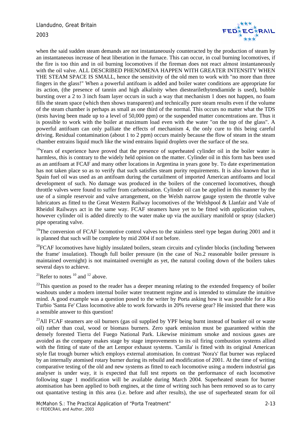

when the said sudden steam demands are not instantaneously counteracted by the production of steam by an instantaneous increase of heat liberation in the furnace. This can occur, in coal burning locomotives, if the fire is too thin and in oil burning locomotives if the fireman does not react almost instantaneously with the oil valve. ALL DESCRIBED PHENOMENA HAPPEN WITH GREATER INTENSITY WHEN THE STEAM SPACE IS SMALL, hence the sensitivity of the old men to work with "no more than three fingers in the glass!" When a powerful antifoam is added and boiler water conditions are appropriate for its action, (the presence of tannin and high alkalinity when diestearilethytendiamide is used), bubble bursting over a 2 to 3 inch foam layer occurs in such a way that mechanism 1 does not happen, no foam fills the steam space (which then shows transparent) and technically pure steam results even if the volume of the steam chamber is perhaps as small as one third of the normal. This occurs no matter what the TDS (tests having been made up to a level of 50,000 ppm) or the suspended matter concentrations are. Thus it is possible to work with the boiler at maximum load even with the water "on the top of the glass". A powerful antifoam can only palliate the effects of mechanism 4, the only cure to this being careful driving. Residual contamination (about 1 to 2 ppm) occurs mainly because the flow of steam in the steam chamber entrains liquid much like the wind entrains liquid droplets over the surface of the sea.

 $18$ Years of experience have proved that the presence of superheated cylinder oil in the boiler water is harmless, this is contrary to the widely held opinion on the matter. Cylinder oil in this form has been used as an antifoam at FCAF and many other locations in Argentina in years gone by. To date experimentation has not taken place so as to verify that such satisfies steam purity requirements. It is also known that in Spain fuel oil was used as an antifoam during the curtailment of imported American antifoams and local development of such. No damage was produced in the boilers of the concerned locomotives, though throttle valves were found to suffer from carbonisation. Cylinder oil can be applied in this manner by the use of a simple reservoir and valve arrangement, on the Welsh narrow gauge system the throttle valve lubricators as fitted to the Great Western Railway locomotives of the Welshpool & Llanfair and Vale of Rheidol Railways act in the same way. FCAF steamers have yet to be fitted with application valves, however cylinder oil is added directly to the water make up via the auxiliary manifold or spray (slacker) pipe operating valve.

<sup>19</sup>The conversion of FCAF locomotive control valves to the stainless steel type began during 2001 and it is planned that such will be complete by mid 2004 if not before.

 $20$ FCAF locomotives have highly insulated boilers, steam circuits and cylinder blocks (including 'between the frame' insulation). Though full boiler pressure (in the case of No.2 reasonable boiler pressure is maintained overnight) is not maintained overnight as yet, the natural cooling down of the boilers takes several days to achieve.

<sup>21</sup>Refer to notes  $10$  and  $12$  above.

 $^{22}$ This question as posed to the reader has a deeper meaning relating to the extended frequency of boiler washouts under a modern internal boiler water treatment regime and is intended to stimulate the intuitive mind. A good example was a question posed to the writer by Porta asking how it was possible for a Rio Turbio 'Santa Fe' Class locomotive able to work forwards in 20% reverse gear? He insisted that there was a sensible answer to this question!

 $^{23}$ All FCAF steamers are oil burners (gas oil supplied by YPF being burnt instead of bunker oil or waste oil) rather than coal, wood or biomass burners. Zero spark emission must be guaranteed within the densely forested Tierra del Fuego National Park. Likewise minimum smoke and noxious gases are avoided as the company makes stage by stage improvements to its oil firing combustion systems allied with the fitting of state of the art Lempor exhaust systems. 'Camila' is fitted with its original American style flat trough burner which employs external atomisation. In contrast 'Nora's' flat burner was replaced by an internally atomised rotary burner during its rebuild and modification of 2001. At the time of writing comparative testing of the old and new systems as fitted to each locomotive using a modern industrial gas analyser is under way, it is expected that full test reports on the performance of each locomotive following stage 1 modification will be available during March 2004. Superheated steam for burner atomisation has been applied to both engines, at the time of writing such has been removed so as to carry out quantative testing in this area (i.e. before and after results), the use of superheated steam for oil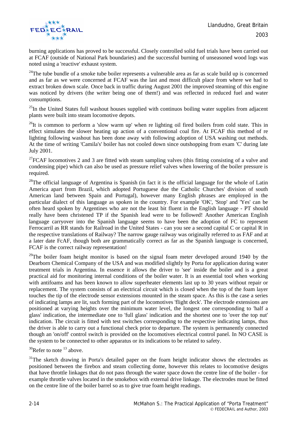

burning applications has proved to be successful. Closely controlled solid fuel trials have been carried out at FCAF (outside of National Park boundaries) and the successful burning of unseasoned wood logs was noted using a 'reactive' exhaust system.

 $24$ The tube bundle of a smoke tube boiler represents a vulnerable area as far as scale build up is concerned and as far as we were concerned at FCAF was the last and most difficult place from where we had to extract broken down scale. Once back in traffic during August 2001 the improved steaming of this engine was noticed by drivers (the writer being one of them!) and was reflected in reduced fuel and water consumptions.

 $^{25}$ In the United States full washout houses supplied with continuos boiling water supplies from adjacent plants were built into steam locomotive depots.

 $^{26}$ It is common to perform a 'slow warm up' when re lighting oil fired boilers from cold state. This in effect simulates the slower heating up action of a conventional coal fire. At FCAF this method of re lighting following washout has been done away with following adoption of USA washing out methods. At the time of writing 'Camila's' boiler has not cooled down since outshopping from exam 'C' during late July 2001.

<sup>27</sup>FCAF locomotives 2 and 3 are fitted with steam sampling valves (this fitting consisting of a valve and condensing pipe) which can also be used as pressure relief valves when lowering of the boiler pressure is required.

 $28$ The official language of Argentina is Spanish (in fact it is the official language for the whole of Latin America apart from Brazil, which adopted Portuguese due the Catholic Churches' division of south American land between Spain and Portugal), however many English phrases are employed in the particular dialect of this language as spoken in the country. For example 'OK', 'Stop' and 'Yes' can be often heard spoken by Argentines who are not the least bit fluent in the English language - PT should really have been christened TP if the Spanish lead were to be followed! Another American English language carryover into the Spanish language seems to have been the adoption of FC to represent Ferrocarril as RR stands for Railroad in the United States - can you see a second capital C or capital R in the respective translations of Railway? The narrow gauge railway was originally referred to as FAF and at a later date FcAF, though both are grammatically correct as far as the Spanish language is concerned, FCAF is the correct railway representation!

 $29$ The boiler foam height monitor is based on the signal foam meter developed around 1940 by the Dearborn Chemical Company of the USA and was modified slightly by Porta for application during water treatment trials in Argentina. In essence it allows the driver to 'see' inside the boiler and is a great practical aid for monitoring internal conditions of the boiler water. It is an essential tool when working with antifoams and has been known to allow superheater elements last up to 30 years without repair or replacement. The system consists of an electrical circuit which is closed when the top of the foam layer touches the tip of the electrode sensor extensions mounted in the steam space. As this is the case a series of indicating lamps are lit, such forming part of the locomotives 'flight deck'. The electrode extensions are positioned at varying heights over the minimum water level, the longest one corresponding to 'half a glass' indication, the intermediate one to 'full glass' indication and the shortest one to 'over the top nut' indication. The circuit is fitted with test switches corresponding to the respective indicating lamps, thus the driver is able to carry out a functional check prior to departure. The system is permanently connected though an 'on/off' control switch is provided on the locomotives electrical control panel. In NO CASE is the system to be connected to other apparatus or its indications to be related to safety.

 $30$ Refer to note  $13$  above.

<sup>31</sup>The sketch drawing in Porta's detailed paper on the foam height indicator shows the electrodes as positioned between the firebox and steam collecting dome, however this relates to locomotive designs that have throttle linkages that do not pass through the water space down the centre line of the boiler - for example throttle valves located in the smokebox with external drive linkage. The electrodes must be fitted on the centre line of the boiler barrel so as to give true foam height readings.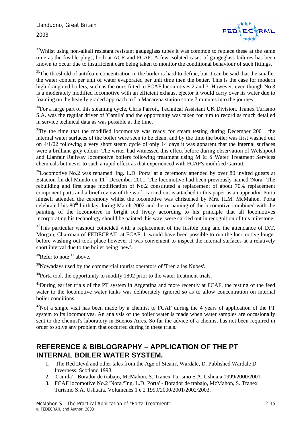

 $32$ Whilst using non-alkali resistant resistant gaugeglass tubes it was common to replace these at the same time as the fusible plugs, both at ACR and FCAF. A few isolated cases of gaugeglass failures has been known to occur due to insufficient care being taken to monitor the conditional behaviour of such fittings.

<sup>33</sup>The threshold of antifoam concentration in the boiler is hard to define, but it can be said that the smaller the water content per unit of water evaporated per unit time then the better. This is the case for modern high draughted boilers, such as the ones fitted to FCAF locomotives 2 and 3. However, even though No.3 is a moderately modified locomotive with an efficient exhaust ejector it would carry over its water due to foaming on the heavily graded approach to La Macarena station some 7 minutes into the journey.

 $34$ For a large part of this steaming cycle, Chris Parrott, Technical Assistant UK Division, Tranex Turismo S.A. was the regular driver of 'Camila' and the opportunity was taken for him to record as much detailed in service technical data as was possible at the time.

 $35\text{By}$  the time that the modified locomotive was ready for steam testing during December 2001, the internal water surfaces of the boiler were seen to be clean, and by the time the boiler was first washed out on 4/1/02 following a very short steam cycle of only 14 days it was apparent that the internal surfaces were a brilliant grey colour. The writer had witnessed this effect before during observation of Welshpool and Llanfair Railway locomotive boilers following treatment using M & S Water Treatment Services chemicals but never to such a rapid effect as that experienced with FCAF's modified Garratt.

<sup>36</sup>Locomotive No.2 was renamed 'Ing. L.D. Porta' at a ceremony attended by over 80 invited guests at Estacion fin del Mundo on  $11<sup>th</sup>$  December 2001. The locomotive had been previously named 'Nora'. The rebuilding and first stage modification of No.2 constituted a replacement of about 70% replacement component parts and a brief review of the work carried out is attached to this paper as an appendix. Porta himself attended the ceremony whilst the locomotive was christened by Mrs. H.M. McMahon. Porta celebrated his 80th birthday during March 2002 and the re naming of the locomotive combined with the painting of the locomotive in bright red livery according to his principle that all locomotives incorporating his technology should be painted this way, were carried out in recognition of this milestone.

 $37$ This particular washout coincided with a replacement of the fusible plug and the attendance of D.T. Morgan, Chairman of FEDECRAIL at FCAF. It would have been possible to run the locomotive longer before washing out took place however it was convenient to inspect the internal surfaces at a relatively short interval due to the boiler being 'new'.

 $38$ Refer to note  $11$  above.

<sup>39</sup>Nowadays used by the commercial tourist operators of 'Tren a las Nubes'.

 $^{40}$ Porta took the opportunity to modify 1802 prior to the water treatment trials.

<sup>41</sup>During earlier trials of the PT system in Argentina and more recently at FCAF, the testing of the feed water to the locomotive water tanks was deliberately ignored so as to allow concentration on internal boiler conditions.

 $42$ Not a single visit has been made by a chemist to FCAF during the 4 years of application of the PT system to its locomotives. An analysis of the boiler water is made when water samples are occasionally sent to the chemist's laboratory in Buenos Aires. So far the advice of a chemist has not been required in order to solve any problem that occurred during in these trials.

### **REFERENCE & BIBLOGRAPHY – APPLICATION OF THE PT INTERNAL BOILER WATER SYSTEM.**

- 1. 'The Red Devil and other tales from the Age of Steam', Wardale, D. Published Wardale D. Inverness, Scotland 1998.
- 2. 'Camila' Borador de trabajo, McMahon, S. Tranex Turismo S.A. Ushuaia 1999/2000/2001.
- 3. FCAF locomotive No.2 'Nora'/'Ing. L.D. Porta' Borador de trabajo, McMahon, S. Tranex Turismo S.A. Ushuaia. Volumenes 1 e 2 1999/2000/2001/2002/2003.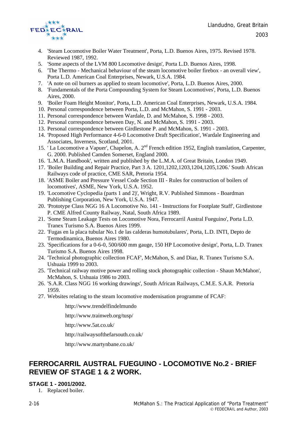

- 4. 'Steam Locomotive Boiler Water Treatment', Porta, L.D. Buenos Aires, 1975. Revised 1978. Reviewed 1987, 1992.
- 5. 'Some aspects of the LVM 800 Locomotive design', Porta L.D. Buenos Aires, 1998.
- 6. 'The Thermo Mechanical behaviour of the steam locomotive boiler firebox an overall view', Porta L.D. American Coal Enterprises, Newark, U.S.A. 1984.
- 7. 'A note on oil burners as applied to steam locomotive', Porta, L.D. Buenos Aires, 2000.
- 8. 'Fundamentals of the Porta Compounding System for Steam Locomotives', Porta, L.D. Buenos Aires, 2000.
- 9. 'Boiler Foam Height Monitor', Porta, L.D. American Coal Enterprises, Newark, U.S.A. 1984.
- 10. Personal correspondence between Porta, L.D. and McMahon, S. 1991 2003.
- 11. Personal correspondence between Wardale, D. and McMahon, S. 1998 2003.
- 12. Personal correspondence between Day, N. and McMahon, S. 1991 2003.
- 13. Personal correspondence between Girdlestone P. and McMahon, S. 1991 2003.
- 14. 'Proposed High Performance 4-6-0 Locomotive Draft Specification', Wardale Engineering and Associates, Inverness, Scotland, 2001.
- 15. 'La Locomotive a Vapuer', Chapelon, A. 2<sup>nd</sup> French edition 1952, English translation, Carpenter, G. 2000. Published Camden Somerset, England 2000.
- 16. 'L.M.A. Handbook', written and published by the L.M.A. of Great Britain, London 1949.
- 17. 'Boiler Building and Repair Practice, Part 3 A. 1201,1202,1203,1204,1205,1206.' South African Railways code of practice, CME SAR, Pretoria 1954.
- 18. 'ASME Boiler and Pressure Vessel Code Section III Rules for construction of boilers of locomotives', ASME, New York, U.S.A. 1952.
- 19. 'Locomotive Cyclopedia (parts 1 and 2)', Wright, R.V. Published Simmons Boardman Publishing Corporation, New York, U.S.A. 1947.
- 20. 'Prototype Class NGG 16 A Locomotive No. 141 Instructions for Footplate Staff', Girdlestone P. CME Alfred County Railway, Natal, South Africa 1989.
- 21. 'Some Steam Leakage Tests on Locomotive Nora, Ferrocarril Austral Fueguino', Porta L.D. Tranex Turismo S.A. Buenos Aires 1999.
- 22. 'Fugas en la placa tubular No.1 de las calderas humotubulares', Porta, L.D. INTI, Depto de Termodinamica, Buenos Aires 1980.
- 23. 'Specifications for a 0-6-0, 500/600 mm gauge, 150 HP Locomotive design', Porta, L.D. Tranex Turismo S.A. Buenos Aires 1998.
- 24. 'Technical photographic collection FCAF', McMahon, S. and Diaz, R. Tranex Turismo S.A. Ushuaia 1999 to 2003.
- 25. 'Technical railway motive power and rolling stock photographic collection Shaun McMahon', McMahon, S. Ushuaia 1986 to 2003.
- 26. 'S.A.R. Class NGG 16 working drawings', South African Railways, C.M.E. S.A.R. Pretoria 1959.
- 27. Websites relating to the steam locomotive modernisation programme of FCAF:

http://www.trendelfindelmundo

http://www.trainweb.org/tusp/

http://www.5at.co.uk/

http://railwaysofthefarsouth.co.uk/

http://www.martynbane.co.uk/

### **FERROCARRIL AUSTRAL FUEGUINO - LOCOMOTIVE No.2 - BRIEF REVIEW OF STAGE 1 & 2 WORK.**

#### **STAGE 1 - 2001/2002.**

1. Replaced boiler.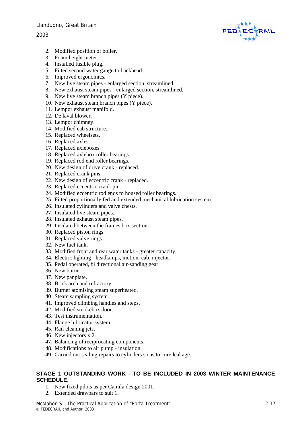#### Llandudno, Great Britain

#### 2003



- 2. Modified position of boiler.
- 3. Foam height meter.
- 4. Installed fusible plug.
- 5. Fitted second water gauge to backhead.
- 6. Improved ergonomics.
- 7. New live steam pipes enlarged section, streamlined.
- 8. New exhaust steam pipes enlarged section, streamlined.
- 9. New live steam branch pipes (Y piece).
- 10. New exhaust steam branch pipes (Y piece).
- 11. Lempor exhaust manifold.
- 12. De laval blower.
- 13. Lempor chimney.
- 14. Modified cab structure.
- 15. Replaced wheelsets.
- 16. Replaced axles.
- 17. Replaced axleboxes.
- 18. Replaced axlebox roller bearings.
- 19. Replaced rod end roller bearings.
- 20. New design of drive crank replaced.
- 21. Replaced crank pins.
- 22. New design of eccentric crank replaced.
- 23. Replaced eccentric crank pin.
- 24. Modified eccentric rod ends to housed roller bearings.
- 25. Fitted proportionally fed and extended mechanical lubrication system.
- 26. Insulated cylinders and valve chests.
- 27. Insulated live steam pipes.
- 28. Insulated exhaust steam pipes.
- 29. Insulated between the frames box section.
- 30. Replaced piston rings.
- 31. Replaced valve rings.
- 32. New fuel tank.
- 33. Modified front and rear water tanks greater capacity.
- 34. Electric lighting headlamps, motion, cab, injector.
- 35. Pedal operated, bi directional air-sanding gear.
- 36. New burner.
- 37. New panplate.
- 38. Brick arch and refractory.
- 39. Burner atomising steam superheated.
- 40. Steam sampling system.
- 41. Improved climbing handles and steps.
- 42. Modified smokebox door.
- 43. Test instrumentation.
- 44. Flange lubricator system.
- 45. Rail cleaning jets.
- 46. New injectors x 2.
- 47. Balancing of reciprocating components.
- 48. Modifications to air pump insulation.
- 49. Carried out sealing repairs to cylinders so as to cure leakage.

#### **STAGE 1 OUTSTANDING WORK - TO BE INCLUDED IN 2003 WINTER MAINTENANCE SCHEDULE.**

- 1. New fixed pilots as per Camila design 2001.
- 2. Extended drawbars to suit 1.

McMahon S.: The Practical Application of "Porta Treatment" 2-17 © FEDECRAIL and Author, 2003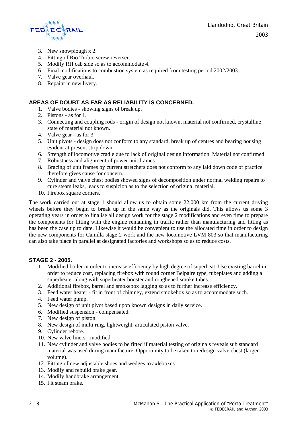

- 3. New snowplough x 2.
- 4. Fitting of Rio Turbio screw reverser.
- 5. Modify RH cab side so as to accommodate 4.
- 6. Final modifications to combustion system as required from testing period 2002/2003.
- 7. Valve gear overhaul.
- 8. Repaint in new livery.

#### **AREAS OF DOUBT AS FAR AS RELIABILITY IS CONCERNED.**

- 1. Valve bodies showing signs of break up.
- 2. Pistons as for 1.
- 3. Connecting and coupling rods origin of design not known, material not confirmed, crystalline state of material not known.
- 4. Valve gear as for 3.
- 5. Unit pivots design does not conform to any standard, break up of centres and bearing housing evident at present strip down.
- 6. Strength of locomotive cradle due to lack of original design information. Material not confirmed.
- 7. Robustness and alignment of power unit frames.
- 8. Bracing of unit frames by current stretchers does not conform to any laid down code of practice therefore gives cause for concern.
- 9. Cylinder and valve chest bodies showed signs of decomposition under normal welding repairs to cure steam leaks, leads to suspicion as to the selection of original material.
- 10. Firebox square corners.

The work carried out at stage 1 should allow us to obtain some 22,000 km from the current driving wheels before they begin to break up in the same way as the originals did. This allows us some 3 operating years in order to finalise all design work for the stage 2 modifications and even time to prepare the components for fitting with the engine remaining in traffic rather than manufacturing and fitting as has been the case up to date. Likewise it would be convenient to use the allocated time in order to design the new components for Camilla stage 2 work and the new locomotive LVM 803 so that manufacturing can also take place in parallel at designated factories and workshops so as to reduce costs.

#### **STAGE 2 - 2005.**

- 1. Modified boiler in order to increase efficiency by high degree of superheat. Use existing barrel in order to reduce cost, replacing firebox with round corner Belpaire type, tubeplates and adding a superheater along with superheater booster and roughened smoke tubes.
- 2. Additional firebox, barrel and smokebox lagging so as to further increase efficiency.
- 3. Feed water heater fit in front of chimney, extend smokebox so as to accommodate such.
- 4. Feed water pump.
- 5. New design of unit pivot based upon known designs in daily service.
- 6. Modified suspension compensated.
- 7. New design of piston.
- 8. New design of multi ring, lightweight, articulated piston valve.
- 9. Cylinder rebore.
- 10. New valve liners modified.
- 11. New cylinder and valve bodies to be fitted if material testing of originals reveals sub standard material was used during manufacture. Opportunity to be taken to redesign valve chest (larger volume).
- 12. Fitting of new adjustable shoes and wedges to axleboxes.
- 13. Modify and rebuild brake gear.
- 14. Modify handbrake arrangement.
- 15. Fit steam brake.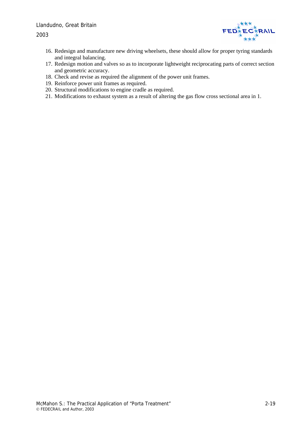2003



- 16. Redesign and manufacture new driving wheelsets, these should allow for proper tyring standards and integral balancing.
- 17. Redesign motion and valves so as to incorporate lightweight reciprocating parts of correct section and geometric accuracy.
- 18. Check and revise as required the alignment of the power unit frames.
- 19. Reinforce power unit frames as required.
- 20. Structural modifications to engine cradle as required.
- 21. Modifications to exhaust system as a result of altering the gas flow cross sectional area in 1.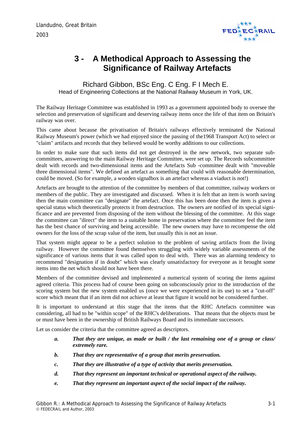

# <span id="page-30-0"></span>**3 - A Methodical Approach to Assessing the Significance of Railway Artefacts**

Richard Gibbon, BSc Eng. C Eng. F I Mech E. Head of Engineering Collections at the National Railway Museum in York, UK.

The Railway Heritage Committee was established in 1993 as a government appointed body to oversee the selection and preservation of significant and deserving railway items once the life of that item on Britain's railway was over.

This came about because the privatisation of Britain's railways effectively terminated the National Railway Museum's power (which we had enjoyed since the passing of the1968 Transport Act) to select or "claim" artifacts and records that they believed would be worthy additions to our collections.

In order to make sure that such items did not get destroyed in the new network, two separate subcommittees, answering to the main Railway Heritage Committee, were set up. The Records subcommittee dealt with records and two-dimensional items and the Artefacts Sub -committee dealt with "moveable three dimensional items". We defined an artefact as something that could with reasonable determination, could be moved. (So for example, a wooden signalbox is an artefact whereas a viaduct is not!)

Artefacts are brought to the attention of the committee by members of that committee, railway workers or members of the public. They are investigated and discussed. When it is felt that an item is worth saving then the main committee can "designate" the artefact. Once this has been done then the item is given a special status which theoretically protects it from destruction. The owners are notified of its special significance and are prevented from disposing of the item without the blessing of the committee. At this stage the committee can "direct" the item to a suitable home in preservation where the committee feel the item has the best chance of surviving and being accessible. The new owners may have to recompense the old owners for the loss of the scrap value of the item, but usually this is not an issue.

That system might appear to be a perfect solution to the problem of saving artifacts from the living railway. However the committee found themselves struggling with widely variable assessments of the significance of various items that it was called upon to deal with. There was an alarming tendency to recommend "designation if in doubt" which was clearly unsatisfactory for everyone as it brought some items into the net which should not have been there.

Members of the committee devised and implemented a numerical system of scoring the items against agreed criteria. This process had of course been going on subconsciously prior to the introduction of the scoring system but the new system enabled us (once we were experienced in its use) to set a "cut-off" score which meant that if an item did not achieve at least that figure it would not be considered further.

It is important to understand at this stage that the items that the RHC Artefacts committee was considering, all had to be "within scope" of the RHC's deliberations. That means that the objects must be or must have been in the ownership of British Railways Board and its immediate successors.

Let us consider the criteria that the committee agreed as descriptors.

- *a. That they are unique, as made or built / the last remaining one of a group or class/ extremely rare.*
- *b. That they are representative of a group that merits preservation.*
- *c. That they are illustrative of a type of activity that merits preservation.*
- *d. That they represent an important technical or operational aspect of the railway.*
- *e. That they represent an important aspect of the social impact of the railway.*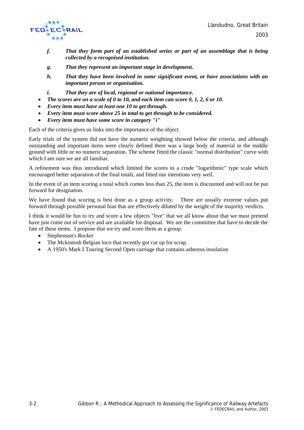

- *f. That they form part of an established series or part of an assemblage that is being collected by a recognised institution.*
- *g. That they represent an important stage in development.*
- *h. That they have been involved in some significant event, or have associations with an important person or organisation.*
- *i. That they are of local, regional or national importance.*
- *The scores are on a scale of 0 to 10, and each item can score 0, 1, 2, 6 or 10.*
- *Every item must have at least one 10 to get through.*
- *Every item must score above 25 in total to get through to be considered.*
- *Every item must have some score in category "i"*

Each of the criteria gives us links into the importance of the object.

Early trials of the system did not have the numeric weighting showed below the criteria, and although outstanding and important items were clearly defined there was a large body of material in the middle ground with little or no numeric separation. The scheme fitted the classic "normal distribution" curve with which I am sure we are all familiar.

A refinement was thus introduced which limited the scores to a crude "logarithmic" type scale which encouraged better separation of the final totals, and fitted our intentions very well.

In the event of an item scoring a total which comes less than 25, the item is discounted and will not be put forward for designation.

We have found that scoring is best done as a group activity. There are usually extreme values put forward through possible personal bias that are effectively diluted by the weight of the majority verdicts.

I think it would be fun to try and score a few objects "live" that we all know about that we must pretend have just come out of service and are available for disposal. We are the committee that have to decide the fate of these items. I propose that we try and score them as a group.

- Stephenson's *Rocket*
- The Mckintosh Belgian loco that recently got cut up for scrap.
- A 1950's Mark I Touring Second Open carriage that contains asbestos insulation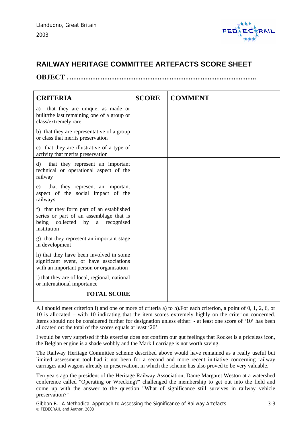

### **RAILWAY HERITAGE COMMITTEE ARTEFACTS SCORE SHEET**

**OBJECT ……………………………………………………………………..** 

| <b>CRITERIA</b>                                                                                                                             | <b>SCORE</b> | <b>COMMENT</b> |
|---------------------------------------------------------------------------------------------------------------------------------------------|--------------|----------------|
| a) that they are unique, as made or<br>built/the last remaining one of a group or<br>class/extremely rare                                   |              |                |
| b) that they are representative of a group<br>or class that merits preservation                                                             |              |                |
| c) that they are illustrative of a type of<br>activity that merits preservation                                                             |              |                |
| that they represent an important<br>d)<br>technical or operational aspect of the<br>railway                                                 |              |                |
| that they represent an important<br>e)<br>aspect of the social impact of the<br>railways                                                    |              |                |
| f) that they form part of an established<br>series or part of an assemblage that is<br>being collected by<br>a<br>recognised<br>institution |              |                |
| g) that they represent an important stage<br>in development                                                                                 |              |                |
| h) that they have been involved in some<br>significant event, or have associations<br>with an important person or organisation              |              |                |
| i) that they are of local, regional, national<br>or international importance                                                                |              |                |
| <b>TOTAL SCORE</b>                                                                                                                          |              |                |

All should meet criterion i) and one or more of criteria a) to h).For each criterion, a point of 0, 1, 2, 6, or 10 is allocated – with 10 indicating that the item scores extremely highly on the criterion concerned. Items should not be considered further for designation unless either: - at least one score of '10' has been allocated or: the total of the scores equals at least '20'.

I would be very surprised if this exercise does not confirm our gut feelings that Rocket is a priceless icon, the Belgian engine is a shade wobbly and the Mark I carriage is not worth saving.

The Railway Heritage Committee scheme described above would have remained as a really useful but limited assessment tool had it not been for a second and more recent initiative concerning railway carriages and wagons already in preservation, in which the scheme has also proved to be very valuable.

Ten years ago the president of the Heritage Railway Association, Dame Margaret Weston at a watershed conference called "Operating or Wrecking?" challenged the membership to get out into the field and come up with the answer to the question "What of significance still survives in railway vehicle preservation?"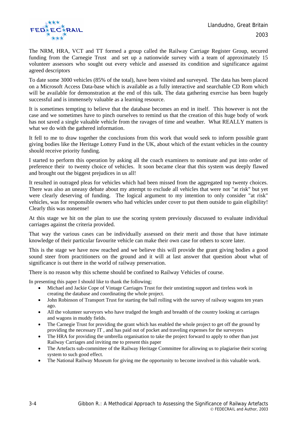

The NRM, HRA, VCT and TT formed a group called the Railway Carriage Register Group, secured funding from the Carnegie Trust and set up a nationwide survey with a team of approximately 15 volunteer assessors who sought out every vehicle and assessed its condition and significance against agreed descriptors

To date some 3000 vehicles (85% of the total), have been visited and surveyed. The data has been placed on a Microsoft Access Data-base which is available as a fully interactive and searchable CD Rom which will be available for demonstration at the end of this talk. The data gathering exercise has been hugely successful and is immensely valuable as a learning resource.

It is sometimes tempting to believe that the database becomes an end in itself. This however is not the case and we sometimes have to pinch ourselves to remind us that the creation of this huge body of work has not saved a single valuable vehicle from the ravages of time and weather. What REALLY matters is what we do with the gathered information.

It fell to me to draw together the conclusions from this work that would seek to inform possible grant giving bodies like the Heritage Lottery Fund in the UK, about which of the extant vehicles in the country should receive priority funding.

I started to perform this operation by asking all the coach examiners to nominate and put into order of preference their to twenty choice of vehicles. It soon became clear that this system was deeply flawed and brought out the biggest prejudices in us all!

It resulted in outraged pleas for vehicles which had been missed from the aggregated top twenty choices. There was also an uneasy debate about my attempt to exclude all vehicles that were not "at risk" but yet were clearly deserving of funding. The logical argument to my intention to only consider "at risk" vehicles, was for responsible owners who had vehicles under cover to put them outside to gain eligibility! Clearly this was nonsense!

At this stage we hit on the plan to use the scoring system previously discussed to evaluate individual carriages against the criteria provided.

That way the various cases can be individually assessed on their merit and those that have intimate knowledge of their particular favourite vehicle can make their own case for others to score later.

This is the stage we have now reached and we believe this will provide the grant giving bodies a good sound steer from practitioners on the ground and it will at last answer that question about what of significance is out there in the world of railway preservation.

There is no reason why this scheme should be confined to Railway Vehicles of course.

In presenting this paper I should like to thank the following;

- Michael and Jackie Cope of Vintage Carriages Trust for their unstinting support and tireless work in creating the database and coordinating the whole project.
- John Robinson of Transport Trust for starting the ball rolling with the survey of railway wagons ten years ago.
- All the volunteer surveyors who have trudged the length and breadth of the country looking at carriages and wagons in muddy fields.
- The Carnegie Trust for providing the grant which has enabled the whole project to get off the ground by providing the necessary IT , and has paid out of pocket and traveling expenses for the surveyors
- The HRA for providing the umbrella organisation to take the project forward to apply to other than just Railway Carriages and inviting me to present this paper
- The Artefacts sub-committee of the Railway Heritage Committee for allowing us to plagiarise their scoring system to such good effect.
- The National Railway Museum for giving me the opportunity to become involved in this valuable work.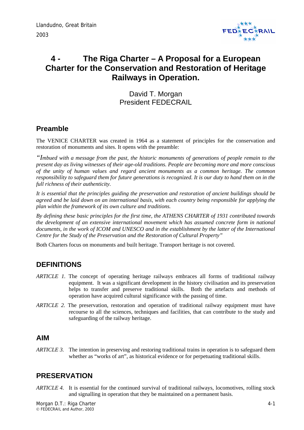

# <span id="page-34-0"></span>**4 - The Riga Charter – A Proposal for a European Charter for the Conservation and Restoration of Heritage Railways in Operation.**

David T. Morgan President FEDECRAIL

### **Preamble**

The VENICE CHARTER was created in 1964 as a statement of principles for the conservation and restoration of monuments and sites. It opens with the preamble:

*"Imbued with a message from the past, the historic monuments of generations of people remain to the present day as living witnesses of their age-old traditions. People are becoming more and more conscious of the unity of human values and regard ancient monuments as a common heritage. The common responsibility to safeguard them for future generations is recognized. It is our duty to hand them on in the full richness of their authenticity.* 

*It is essential that the principles guiding the preservation and restoration of ancient buildings should be agreed and be laid down on an international basis, with each country being responsible for applying the plan within the framework of its own culture and traditions.* 

*By defining these basic principles for the first time, the ATHENS CHARTER of 1931 contributed towards the development of an extensive international movement which has assumed concrete form in national documents, in the work of ICOM and UNESCO and in the establishment by the latter of the International Centre for the Study of the Preservation and the Restoration of Cultural Property"* 

Both Charters focus on monuments and built heritage. Transport heritage is not covered.

## **DEFINITIONS**

- *ARTICLE 1.* The concept of operating heritage railways embraces all forms of traditional railway equipment. It was a significant development in the history civilisation and its preservation helps to transfer and preserve traditional skills. Both the artefacts and methods of operation have acquired cultural significance with the passing of time.
- *ARTICLE 2.* The preservation, restoration and operation of traditional railway equipment must have recourse to all the sciences, techniques and facilities, that can contribute to the study and safeguarding of the railway heritage.

### **AIM**

*ARTICLE 3.* The intention in preserving and restoring traditional trains in operation is to safeguard them whether as "works of art", as historical evidence or for perpetuating traditional skills.

### **PRESERVATION**

*ARTICLE 4.* It is essential for the continued survival of traditional railways, locomotives, rolling stock and signalling in operation that they be maintained on a permanent basis.

Morgan D.T.: Riga Charter 4-1 (1999) 2004 12:30 12:30 12:30 12:30 12:30 12:30 12:41 12:42 © FEDECRAIL and Author, 2003